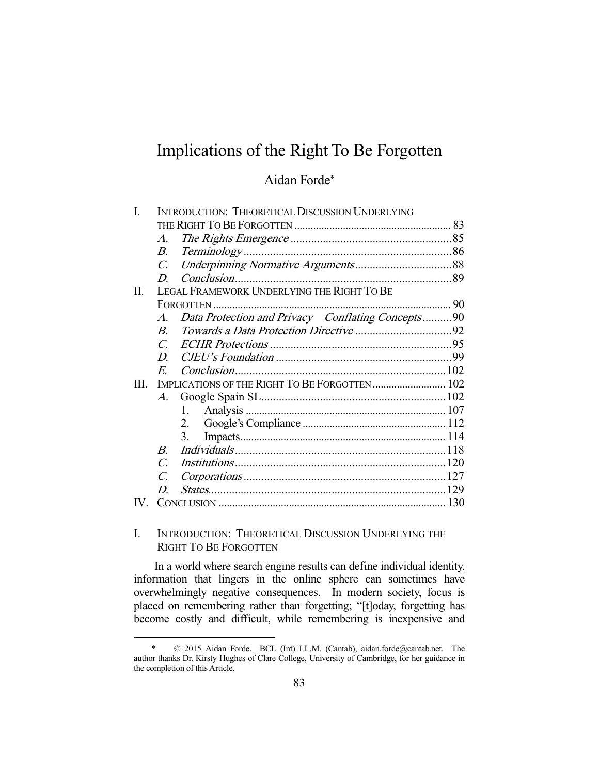# Implications of the Right To Be Forgotten

## Aidan Forde\*

|      | <b>INTRODUCTION: THEORETICAL DISCUSSION UNDERLYING</b> |                                                   |  |
|------|--------------------------------------------------------|---------------------------------------------------|--|
|      |                                                        |                                                   |  |
|      | $\mathcal{A}_{\cdot}$                                  |                                                   |  |
|      | В.                                                     |                                                   |  |
|      | $C_{\cdot}$                                            |                                                   |  |
|      | D                                                      |                                                   |  |
| H.   | LEGAL FRAMEWORK UNDERLYING THE RIGHT TO BE             |                                                   |  |
|      |                                                        |                                                   |  |
|      | $\mathcal{A}_{\cdot}$                                  | Data Protection and Privacy—Conflating Concepts90 |  |
|      | $\overline{B}$                                         |                                                   |  |
|      | $\mathcal{C}$                                          |                                                   |  |
|      | D                                                      |                                                   |  |
|      | $\overline{E}$                                         |                                                   |  |
| III. |                                                        |                                                   |  |
|      | $\mathcal{A}.$                                         |                                                   |  |
|      |                                                        | $1 \quad$                                         |  |
|      |                                                        | 2.                                                |  |
|      |                                                        | 3.                                                |  |
|      | $\boldsymbol{B}$                                       |                                                   |  |
|      | $\mathcal{C}$                                          |                                                   |  |
|      | C.                                                     |                                                   |  |
|      | D                                                      |                                                   |  |
|      |                                                        |                                                   |  |

## I. INTRODUCTION: THEORETICAL DISCUSSION UNDERLYING THE RIGHT TO BE FORGOTTEN

 In a world where search engine results can define individual identity, information that lingers in the online sphere can sometimes have overwhelmingly negative consequences. In modern society, focus is placed on remembering rather than forgetting; "[t]oday, forgetting has become costly and difficult, while remembering is inexpensive and

 <sup>\* © 2015</sup> Aidan Forde. BCL (Int) LL.M. (Cantab), aidan.forde@cantab.net. The author thanks Dr. Kirsty Hughes of Clare College, University of Cambridge, for her guidance in the completion of this Article.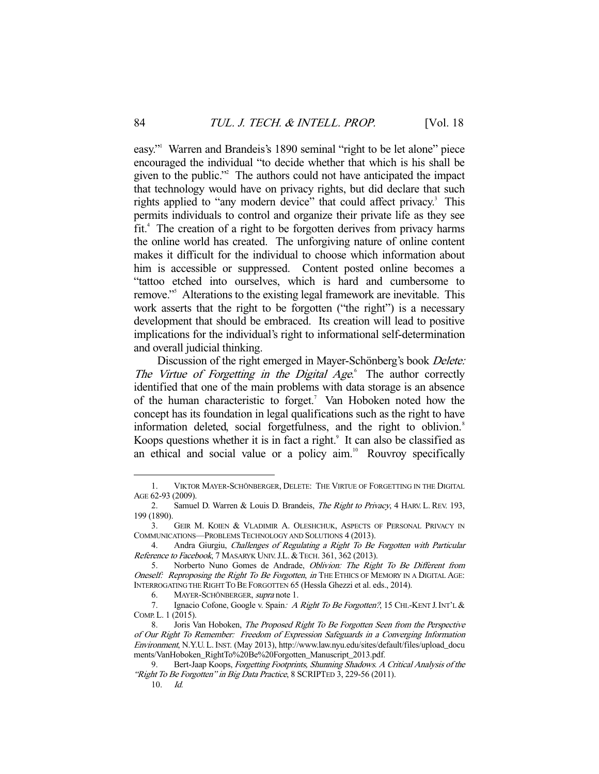easy."1 Warren and Brandeis's 1890 seminal "right to be let alone" piece encouraged the individual "to decide whether that which is his shall be given to the public."2 The authors could not have anticipated the impact that technology would have on privacy rights, but did declare that such rights applied to "any modern device" that could affect privacy.<sup>3</sup> This permits individuals to control and organize their private life as they see fit.<sup>4</sup> The creation of a right to be forgotten derives from privacy harms the online world has created. The unforgiving nature of online content makes it difficult for the individual to choose which information about him is accessible or suppressed. Content posted online becomes a "tattoo etched into ourselves, which is hard and cumbersome to remove."<sup>5</sup> Alterations to the existing legal framework are inevitable. This work asserts that the right to be forgotten ("the right") is a necessary development that should be embraced. Its creation will lead to positive implications for the individual's right to informational self-determination and overall judicial thinking.

Discussion of the right emerged in Mayer-Schönberg's book *Delete:* The Virtue of Forgetting in the Digital Age.<sup>6</sup> The author correctly identified that one of the main problems with data storage is an absence of the human characteristic to forget.<sup>7</sup> Van Hoboken noted how the concept has its foundation in legal qualifications such as the right to have information deleted, social forgetfulness, and the right to oblivion.<sup>8</sup> Koops questions whether it is in fact a right.<sup>9</sup> It can also be classified as an ethical and social value or a policy aim.<sup>10</sup> Rouvroy specifically

 <sup>1.</sup> VIKTOR MAYER-SCHÖNBERGER, DELETE: THE VIRTUE OF FORGETTING IN THE DIGITAL AGE 62-93 (2009).

<sup>2.</sup> Samuel D. Warren & Louis D. Brandeis, The Right to Privacy, 4 HARV. L. REV. 193, 199 (1890).

<sup>3.</sup> GEIR M. KOIEN & VLADIMIR A. OLESHCHUK, ASPECTS OF PERSONAL PRIVACY IN COMMUNICATIONS—PROBLEMS TECHNOLOGY AND SOLUTIONS 4 (2013).

 <sup>4.</sup> Andra Giurgiu, Challenges of Regulating a Right To Be Forgotten with Particular Reference to Facebook, 7 MASARYK UNIV. J.L. & TECH. 361, 362 (2013).

 <sup>5.</sup> Norberto Nuno Gomes de Andrade, Oblivion: The Right To Be Different from Oneself: Reproposing the Right To Be Forgotten, in THE ETHICS OF MEMORY IN A DIGITAL AGE: INTERROGATING THE RIGHT TO BE FORGOTTEN 65 (Hessla Ghezzi et al. eds., 2014).

<sup>6.</sup> MAYER-SCHÖNBERGER, supra note 1.

<sup>7.</sup> Ignacio Cofone, Google v. Spain: A Right To Be Forgotten?, 15 CHI.-KENT J. INT'L & COMP. L. 1 (2015).

<sup>8.</sup> Joris Van Hoboken, The Proposed Right To Be Forgotten Seen from the Perspective of Our Right To Remember: Freedom of Expression Safeguards in a Converging Information Environment, N.Y.U. L.INST. (May 2013), http://www.law.nyu.edu/sites/default/files/upload\_docu ments/VanHoboken\_RightTo%20Be%20Forgotten\_Manuscript\_2013.pdf.

 <sup>9.</sup> Bert-Jaap Koops, Forgetting Footprints, Shunning Shadows. A Critical Analysis of the "Right To Be Forgotten" in Big Data Practice, 8 SCRIPTED 3, 229-56 (2011).

 <sup>10.</sup> Id.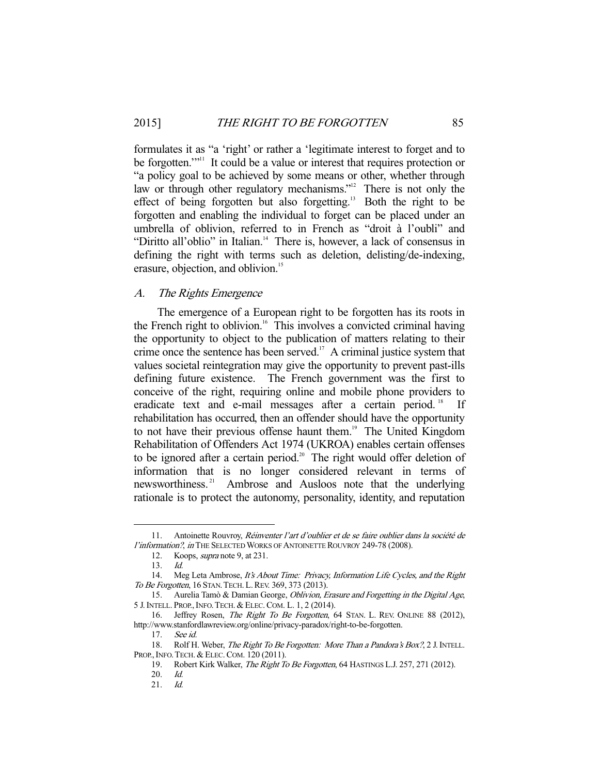formulates it as "a 'right' or rather a 'legitimate interest to forget and to be forgotten."<sup>11</sup> It could be a value or interest that requires protection or "a policy goal to be achieved by some means or other, whether through law or through other regulatory mechanisms."<sup>12</sup> There is not only the effect of being forgotten but also forgetting.<sup>13</sup> Both the right to be forgotten and enabling the individual to forget can be placed under an umbrella of oblivion, referred to in French as "droit à l'oubli" and "Diritto all'oblio" in Italian.<sup>14</sup> There is, however, a lack of consensus in defining the right with terms such as deletion, delisting/de-indexing, erasure, objection, and oblivion.<sup>15</sup>

#### A. The Rights Emergence

 The emergence of a European right to be forgotten has its roots in the French right to oblivion.<sup>16</sup> This involves a convicted criminal having the opportunity to object to the publication of matters relating to their crime once the sentence has been served.<sup>17</sup> A criminal justice system that values societal reintegration may give the opportunity to prevent past-ills defining future existence. The French government was the first to conceive of the right, requiring online and mobile phone providers to eradicate text and e-mail messages after a certain period.<sup>18</sup> If rehabilitation has occurred, then an offender should have the opportunity to not have their previous offense haunt them.<sup>19</sup> The United Kingdom Rehabilitation of Offenders Act 1974 (UKROA) enables certain offenses to be ignored after a certain period.<sup>20</sup> The right would offer deletion of information that is no longer considered relevant in terms of newsworthiness. 21 Ambrose and Ausloos note that the underlying rationale is to protect the autonomy, personality, identity, and reputation

 <sup>11.</sup> Antoinette Rouvroy, Réinventer l'art d'oublier et de se faire oublier dans la société de l'information?, in THE SELECTED WORKS OF ANTOINETTE ROUVROY 249-78 (2008).

 <sup>12.</sup> Koops, supra note 9, at 231.

 <sup>13.</sup> Id.

<sup>14.</sup> Meg Leta Ambrose, It's About Time: Privacy, Information Life Cycles, and the Right To Be Forgotten, 16 STAN. TECH. L. REV. 369, 373 (2013).

<sup>15.</sup> Aurelia Tamò & Damian George, Oblivion, Erasure and Forgetting in the Digital Age, 5 J.INTELL. PROP.,INFO.TECH. & ELEC.COM. L. 1, 2 (2014).

<sup>16.</sup> Jeffrey Rosen, The Right To Be Forgotten, 64 STAN. L. REV. ONLINE 88 (2012), http://www.stanfordlawreview.org/online/privacy-paradox/right-to-be-forgotten.

 <sup>17.</sup> See id.

<sup>18.</sup> Rolf H. Weber, The Right To Be Forgotten: More Than a Pandora's Box?, 2 J. INTELL. PROP., INFO. TECH. & ELEC. COM. 120 (2011).

<sup>19.</sup> Robert Kirk Walker, The Right To Be Forgotten, 64 HASTINGS L.J. 257, 271 (2012).

 <sup>20.</sup> Id.

 <sup>21.</sup> Id.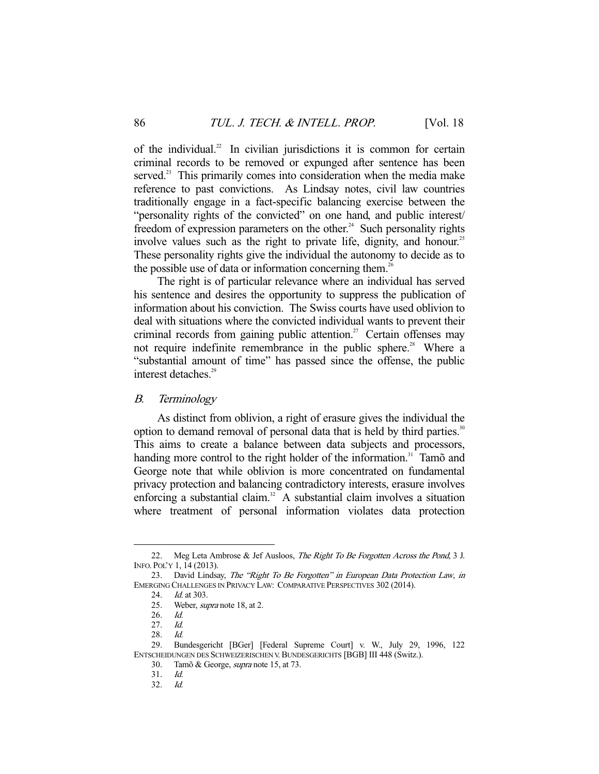of the individual.<sup>22</sup> In civilian jurisdictions it is common for certain criminal records to be removed or expunged after sentence has been served.<sup>23</sup> This primarily comes into consideration when the media make reference to past convictions. As Lindsay notes, civil law countries traditionally engage in a fact-specific balancing exercise between the "personality rights of the convicted" on one hand, and public interest/ freedom of expression parameters on the other.<sup>24</sup> Such personality rights involve values such as the right to private life, dignity, and honour.<sup>25</sup> These personality rights give the individual the autonomy to decide as to the possible use of data or information concerning them.<sup>26</sup>

 The right is of particular relevance where an individual has served his sentence and desires the opportunity to suppress the publication of information about his conviction. The Swiss courts have used oblivion to deal with situations where the convicted individual wants to prevent their criminal records from gaining public attention.<sup>27</sup> Certain offenses may not require indefinite remembrance in the public sphere.<sup>28</sup> Where a "substantial amount of time" has passed since the offense, the public interest detaches.<sup>29</sup>

#### B. Terminology

 As distinct from oblivion, a right of erasure gives the individual the option to demand removal of personal data that is held by third parties.<sup>30</sup> This aims to create a balance between data subjects and processors, handing more control to the right holder of the information.<sup>31</sup> Tamõ and George note that while oblivion is more concentrated on fundamental privacy protection and balancing contradictory interests, erasure involves enforcing a substantial claim.<sup>32</sup> A substantial claim involves a situation where treatment of personal information violates data protection

<sup>22.</sup> Meg Leta Ambrose & Jef Ausloos, The Right To Be Forgotten Across the Pond, 3 J. INFO. POL'Y 1, 14 (2013).

 <sup>23.</sup> David Lindsay, The "Right To Be Forgotten" in European Data Protection Law, in EMERGING CHALLENGES IN PRIVACY LAW: COMPARATIVE PERSPECTIVES 302 (2014).

<sup>24.</sup> *Id.* at 303.<br>25. Weber, *su* 

Weber, *supra* note 18, at 2.

 <sup>26.</sup> Id.

 <sup>27.</sup> Id.

 <sup>28.</sup> Id.

 <sup>29.</sup> Bundesgericht [BGer] [Federal Supreme Court] v. W., July 29, 1996, 122 ENTSCHEIDUNGEN DES SCHWEIZERISCHEN V. BUNDESGERICHTS [BGB] III 448 (Switz.).

 <sup>30.</sup> Tamõ & George, supra note 15, at 73.

 <sup>31.</sup> Id.

 <sup>32.</sup> Id.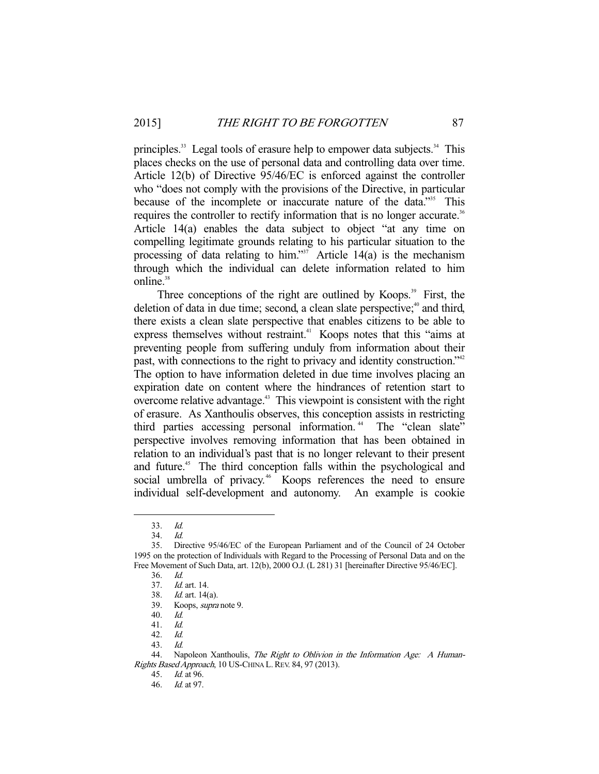principles.<sup>33</sup> Legal tools of erasure help to empower data subjects.<sup>34</sup> This places checks on the use of personal data and controlling data over time. Article 12(b) of Directive 95/46/EC is enforced against the controller who "does not comply with the provisions of the Directive, in particular because of the incomplete or inaccurate nature of the data."<sup>35</sup> This requires the controller to rectify information that is no longer accurate.<sup>36</sup> Article 14(a) enables the data subject to object "at any time on compelling legitimate grounds relating to his particular situation to the processing of data relating to him."<sup>37</sup> Article 14(a) is the mechanism through which the individual can delete information related to him online.<sup>38</sup>

Three conceptions of the right are outlined by Koops.<sup>39</sup> First, the deletion of data in due time; second, a clean slate perspective; $40$  and third, there exists a clean slate perspective that enables citizens to be able to express themselves without restraint.<sup>41</sup> Koops notes that this "aims at preventing people from suffering unduly from information about their past, with connections to the right to privacy and identity construction."<sup>42</sup> The option to have information deleted in due time involves placing an expiration date on content where the hindrances of retention start to overcome relative advantage.43 This viewpoint is consistent with the right of erasure. As Xanthoulis observes, this conception assists in restricting third parties accessing personal information.<sup>44</sup> The "clean slate" perspective involves removing information that has been obtained in relation to an individual's past that is no longer relevant to their present and future.<sup>45</sup> The third conception falls within the psychological and social umbrella of privacy.<sup>46</sup> Koops references the need to ensure individual self-development and autonomy. An example is cookie

 <sup>33.</sup> Id.

 <sup>34.</sup> Id.

 <sup>35.</sup> Directive 95/46/EC of the European Parliament and of the Council of 24 October 1995 on the protection of Individuals with Regard to the Processing of Personal Data and on the Free Movement of Such Data, art. 12(b), 2000 O.J. (L 281) 31 [hereinafter Directive 95/46/EC].

 <sup>36.</sup> Id.

 <sup>37.</sup> Id. art. 14.

 <sup>38.</sup> Id. art. 14(a).

 <sup>39.</sup> Koops, supra note 9.

 <sup>40.</sup> Id.

 <sup>41.</sup> Id.

 <sup>42.</sup> Id.

 <sup>43.</sup> Id.

<sup>44.</sup> Napoleon Xanthoulis, The Right to Oblivion in the Information Age: A Human-Rights Based Approach, 10 US-CHINA L. REV. 84, 97 (2013).

 <sup>45.</sup> Id. at 96.

 <sup>46.</sup> Id. at 97.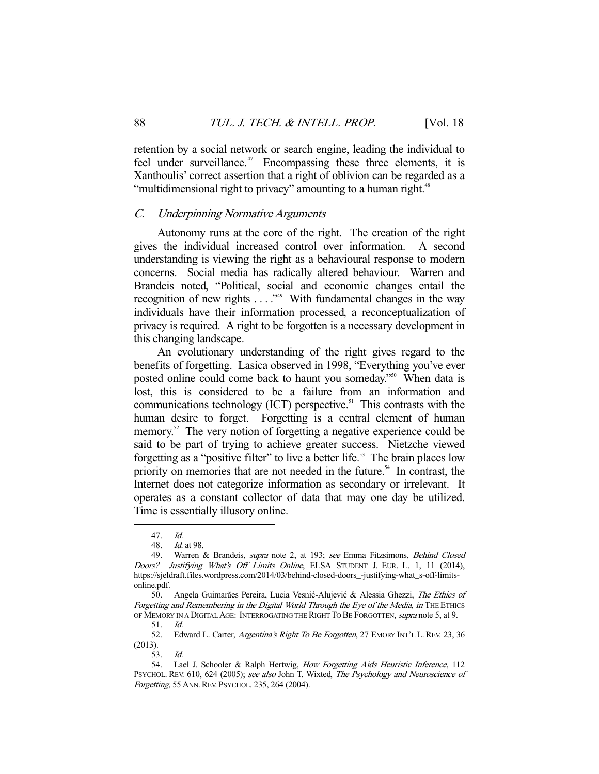retention by a social network or search engine, leading the individual to feel under surveillance.<sup>47</sup> Encompassing these three elements, it is Xanthoulis' correct assertion that a right of oblivion can be regarded as a "multidimensional right to privacy" amounting to a human right.<sup>48</sup>

#### C. Underpinning Normative Arguments

 Autonomy runs at the core of the right. The creation of the right gives the individual increased control over information. A second understanding is viewing the right as a behavioural response to modern concerns. Social media has radically altered behaviour. Warren and Brandeis noted, "Political, social and economic changes entail the recognition of new rights . . . ."49 With fundamental changes in the way individuals have their information processed, a reconceptualization of privacy is required. A right to be forgotten is a necessary development in this changing landscape.

 An evolutionary understanding of the right gives regard to the benefits of forgetting. Lasica observed in 1998, "Everything you've ever posted online could come back to haunt you someday."<sup>50</sup> When data is lost, this is considered to be a failure from an information and communications technology  $(ICT)$  perspective.<sup>51</sup> This contrasts with the human desire to forget. Forgetting is a central element of human memory.<sup>52</sup> The very notion of forgetting a negative experience could be said to be part of trying to achieve greater success. Nietzche viewed forgetting as a "positive filter" to live a better life.<sup>53</sup> The brain places low priority on memories that are not needed in the future.<sup>54</sup> In contrast, the Internet does not categorize information as secondary or irrelevant. It operates as a constant collector of data that may one day be utilized. Time is essentially illusory online.

-

52. Edward L. Carter, Argentina's Right To Be Forgotten, 27 EMORY INT'L L. REV. 23, 36 (2013).

<sup>47.</sup> *Id.*<br>48. *Id.* 

*Id.* at 98.

<sup>49.</sup> Warren & Brandeis, supra note 2, at 193; see Emma Fitzsimons, Behind Closed Doors? Justifying What's Off Limits Online, ELSA STUDENT J. EUR. L. 1, 11 (2014), https://sjeldraft.files.wordpress.com/2014/03/behind-closed-doors\_-justifying-what\_s-off-limitsonline.pdf.

 <sup>50.</sup> Angela Guimarães Pereira, Lucia Vesnić-Alujević & Alessia Ghezzi, The Ethics of Forgetting and Remembering in the Digital World Through the Eye of the Media, in THE ETHICS OF MEMORY IN A DIGITAL AGE: INTERROGATING THE RIGHT TO BE FORGOTTEN, *supra* note 5, at 9.

 <sup>51.</sup> Id.

 <sup>53.</sup> Id.

<sup>54.</sup> Lael J. Schooler & Ralph Hertwig, How Forgetting Aids Heuristic Inference, 112 PSYCHOL. REV. 610, 624 (2005); see also John T. Wixted, The Psychology and Neuroscience of Forgetting, 55 ANN. REV. PSYCHOL. 235, 264 (2004).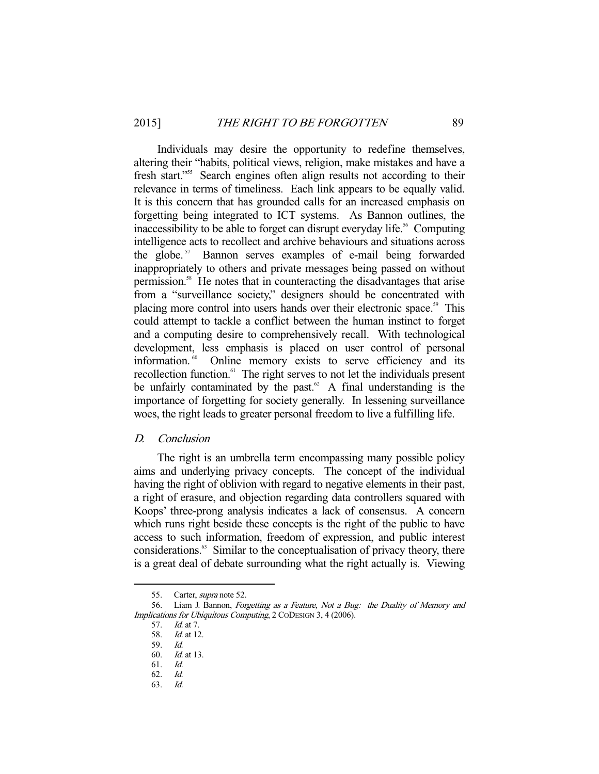Individuals may desire the opportunity to redefine themselves, altering their "habits, political views, religion, make mistakes and have a fresh start."<sup>55</sup> Search engines often align results not according to their relevance in terms of timeliness. Each link appears to be equally valid. It is this concern that has grounded calls for an increased emphasis on forgetting being integrated to ICT systems. As Bannon outlines, the inaccessibility to be able to forget can disrupt everyday life.<sup>56</sup> Computing intelligence acts to recollect and archive behaviours and situations across the globe.<sup>57</sup> Bannon serves examples of e-mail being forwarded inappropriately to others and private messages being passed on without permission.<sup>58</sup> He notes that in counteracting the disadvantages that arise from a "surveillance society," designers should be concentrated with placing more control into users hands over their electronic space.<sup>59</sup> This could attempt to tackle a conflict between the human instinct to forget and a computing desire to comprehensively recall. With technological development, less emphasis is placed on user control of personal information.<sup>60</sup> Online memory exists to serve efficiency and its recollection function.<sup>61</sup> The right serves to not let the individuals present be unfairly contaminated by the past. $62$  A final understanding is the importance of forgetting for society generally. In lessening surveillance woes, the right leads to greater personal freedom to live a fulfilling life.

#### D. Conclusion

 The right is an umbrella term encompassing many possible policy aims and underlying privacy concepts. The concept of the individual having the right of oblivion with regard to negative elements in their past, a right of erasure, and objection regarding data controllers squared with Koops' three-prong analysis indicates a lack of consensus. A concern which runs right beside these concepts is the right of the public to have access to such information, freedom of expression, and public interest considerations.63 Similar to the conceptualisation of privacy theory, there is a great deal of debate surrounding what the right actually is. Viewing

<sup>55.</sup> Carter, *supra* note 52.

 <sup>56.</sup> Liam J. Bannon, Forgetting as a Feature, Not a Bug: the Duality of Memory and Implications for Ubiquitous Computing, 2 CODESIGN 3, 4 (2006).

 <sup>57.</sup> Id. at 7.

<sup>58.</sup> *Id.* at 12.

 <sup>59.</sup> Id.

 <sup>60.</sup> Id. at 13.

<sup>61.</sup> *Id.*<br>62. *Id.*  $62.$ 

 <sup>63.</sup> Id.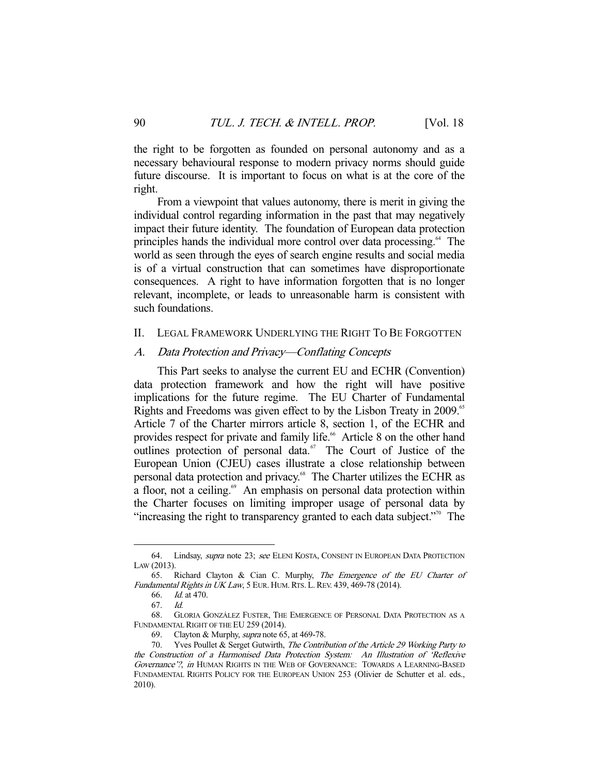the right to be forgotten as founded on personal autonomy and as a necessary behavioural response to modern privacy norms should guide future discourse. It is important to focus on what is at the core of the right.

 From a viewpoint that values autonomy, there is merit in giving the individual control regarding information in the past that may negatively impact their future identity. The foundation of European data protection principles hands the individual more control over data processing.<sup>64</sup> The world as seen through the eyes of search engine results and social media is of a virtual construction that can sometimes have disproportionate consequences. A right to have information forgotten that is no longer relevant, incomplete, or leads to unreasonable harm is consistent with such foundations.

#### II. LEGAL FRAMEWORK UNDERLYING THE RIGHT TO BE FORGOTTEN

#### A. Data Protection and Privacy—Conflating Concepts

 This Part seeks to analyse the current EU and ECHR (Convention) data protection framework and how the right will have positive implications for the future regime. The EU Charter of Fundamental Rights and Freedoms was given effect to by the Lisbon Treaty in 2009.<sup>65</sup> Article 7 of the Charter mirrors article 8, section 1, of the ECHR and provides respect for private and family life.<sup>66</sup> Article 8 on the other hand outlines protection of personal data.<sup>67</sup> The Court of Justice of the European Union (CJEU) cases illustrate a close relationship between personal data protection and privacy.<sup>68</sup> The Charter utilizes the ECHR as a floor, not a ceiling. $\frac{69}{2}$  An emphasis on personal data protection within the Charter focuses on limiting improper usage of personal data by "increasing the right to transparency granted to each data subject."<sup>70</sup> The

<sup>64.</sup> Lindsay, *supra* note 23; see ELENI KOSTA, CONSENT IN EUROPEAN DATA PROTECTION LAW (2013).

 <sup>65.</sup> Richard Clayton & Cian C. Murphy, The Emergence of the EU Charter of Fundamental Rights in UK Law, 5 EUR. HUM. RTS. L. REV. 439, 469-78 (2014).

 <sup>66.</sup> Id. at 470.

 <sup>67.</sup> Id.

 <sup>68.</sup> GLORIA GONZÁLEZ FUSTER, THE EMERGENCE OF PERSONAL DATA PROTECTION AS A FUNDAMENTAL RIGHT OF THE EU 259 (2014).

 <sup>69.</sup> Clayton & Murphy, supra note 65, at 469-78.

<sup>70.</sup> Yves Poullet & Serget Gutwirth, The Contribution of the Article 29 Working Party to the Construction of a Harmonised Data Protection System: An Illustration of 'Reflexive Governance'?, in HUMAN RIGHTS IN THE WEB OF GOVERNANCE: TOWARDS A LEARNING-BASED FUNDAMENTAL RIGHTS POLICY FOR THE EUROPEAN UNION 253 (Olivier de Schutter et al. eds., 2010).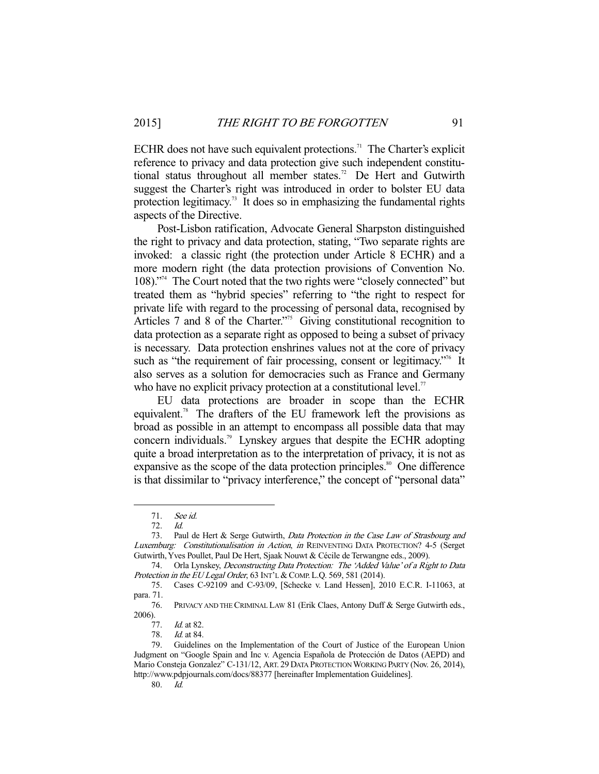ECHR does not have such equivalent protections.<sup>71</sup> The Charter's explicit reference to privacy and data protection give such independent constitutional status throughout all member states.<sup>72</sup> De Hert and Gutwirth suggest the Charter's right was introduced in order to bolster EU data protection legitimacy.<sup>73</sup> It does so in emphasizing the fundamental rights aspects of the Directive.

 Post-Lisbon ratification, Advocate General Sharpston distinguished the right to privacy and data protection, stating, "Two separate rights are invoked: a classic right (the protection under Article 8 ECHR) and a more modern right (the data protection provisions of Convention No. 108)."74 The Court noted that the two rights were "closely connected" but treated them as "hybrid species" referring to "the right to respect for private life with regard to the processing of personal data, recognised by Articles 7 and 8 of the Charter.<sup>375</sup> Giving constitutional recognition to data protection as a separate right as opposed to being a subset of privacy is necessary. Data protection enshrines values not at the core of privacy such as "the requirement of fair processing, consent or legitimacy."<sup>76</sup> It also serves as a solution for democracies such as France and Germany who have no explicit privacy protection at a constitutional level.<sup>77</sup>

 EU data protections are broader in scope than the ECHR equivalent.<sup>78</sup> The drafters of the EU framework left the provisions as broad as possible in an attempt to encompass all possible data that may concern individuals.79 Lynskey argues that despite the ECHR adopting quite a broad interpretation as to the interpretation of privacy, it is not as expansive as the scope of the data protection principles.<sup>80</sup> One difference is that dissimilar to "privacy interference," the concept of "personal data"

 <sup>71.</sup> See id.

 <sup>72.</sup> Id.

<sup>73.</sup> Paul de Hert & Serge Gutwirth, Data Protection in the Case Law of Strasbourg and Luxemburg: Constitutionalisation in Action, in REINVENTING DATA PROTECTION? 4-5 (Serget Gutwirth, Yves Poullet, Paul De Hert, Sjaak Nouwt & Cécile de Terwangne eds., 2009).

<sup>74.</sup> Orla Lynskey, Deconstructing Data Protection: The 'Added Value' of a Right to Data Protection in the EU Legal Order, 63 INT'L & COMP. L.Q. 569, 581 (2014).

 <sup>75.</sup> Cases C-92109 and C-93/09, [Schecke v. Land Hessen], 2010 E.C.R. I-11063, at para. 71.

 <sup>76.</sup> PRIVACY AND THE CRIMINAL LAW 81 (Erik Claes, Antony Duff & Serge Gutwirth eds., 2006).

 <sup>77.</sup> Id. at 82.

 <sup>78.</sup> Id. at 84.

 <sup>79.</sup> Guidelines on the Implementation of the Court of Justice of the European Union Judgment on "Google Spain and Inc v. Agencia Española de Protección de Datos (AEPD) and Mario Consteja Gonzalez" C-131/12, ART. 29 DATA PROTECTION WORKING PARTY (Nov. 26, 2014), http://www.pdpjournals.com/docs/88377 [hereinafter Implementation Guidelines].

 <sup>80.</sup> Id.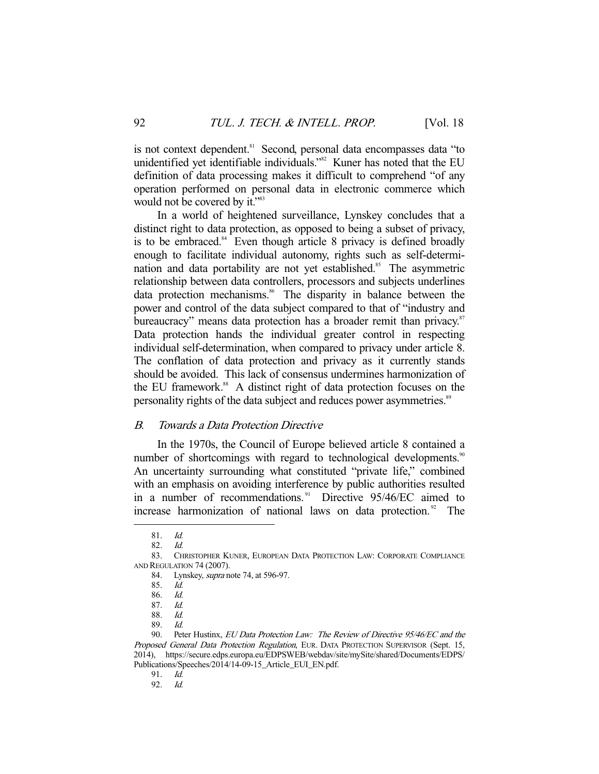is not context dependent.<sup>81</sup> Second, personal data encompasses data "to unidentified yet identifiable individuals."<sup>82</sup> Kuner has noted that the EU definition of data processing makes it difficult to comprehend "of any operation performed on personal data in electronic commerce which would not be covered by it."<sup>83</sup>

 In a world of heightened surveillance, Lynskey concludes that a distinct right to data protection, as opposed to being a subset of privacy, is to be embraced. $84$  Even though article 8 privacy is defined broadly enough to facilitate individual autonomy, rights such as self-determination and data portability are not yet established.<sup>85</sup> The asymmetric relationship between data controllers, processors and subjects underlines data protection mechanisms.<sup>86</sup> The disparity in balance between the power and control of the data subject compared to that of "industry and bureaucracy" means data protection has a broader remit than privacy.<sup>87</sup> Data protection hands the individual greater control in respecting individual self-determination, when compared to privacy under article 8. The conflation of data protection and privacy as it currently stands should be avoided. This lack of consensus undermines harmonization of the EU framework.<sup>88</sup> A distinct right of data protection focuses on the personality rights of the data subject and reduces power asymmetries.<sup>89</sup>

## B. Towards a Data Protection Directive

 In the 1970s, the Council of Europe believed article 8 contained a number of shortcomings with regard to technological developments.<sup>90</sup> An uncertainty surrounding what constituted "private life," combined with an emphasis on avoiding interference by public authorities resulted in a number of recommendations.<sup>91</sup> Directive 95/46/EC aimed to increase harmonization of national laws on data protection.<sup>92</sup> The

 <sup>81.</sup> Id.

 <sup>82.</sup> Id.

 <sup>83.</sup> CHRISTOPHER KUNER, EUROPEAN DATA PROTECTION LAW: CORPORATE COMPLIANCE AND REGULATION 74 (2007).

 <sup>84.</sup> Lynskey, supra note 74, at 596-97.

 <sup>85.</sup> Id.

 <sup>86.</sup> Id.

<sup>87.</sup> *Id.*<br>88. *Id.* 

<sup>88.</sup> 

 <sup>89.</sup> Id.

 <sup>90.</sup> Peter Hustinx, EU Data Protection Law: The Review of Directive 95/46/EC and the Proposed General Data Protection Regulation, EUR. DATA PROTECTION SUPERVISOR (Sept. 15, 2014), https://secure.edps.europa.eu/EDPSWEB/webdav/site/mySite/shared/Documents/EDPS/ Publications/Speeches/2014/14-09-15\_Article\_EUI\_EN.pdf.

 <sup>91.</sup> Id.

 <sup>92.</sup> Id.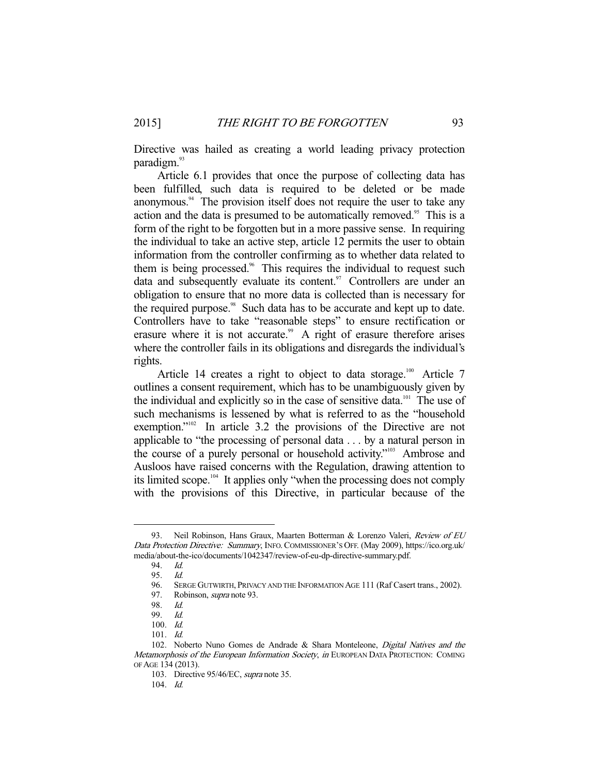Directive was hailed as creating a world leading privacy protection paradigm.<sup>93</sup>

 Article 6.1 provides that once the purpose of collecting data has been fulfilled, such data is required to be deleted or be made anonymous.<sup>94</sup> The provision itself does not require the user to take any action and the data is presumed to be automatically removed.<sup>95</sup> This is a form of the right to be forgotten but in a more passive sense. In requiring the individual to take an active step, article 12 permits the user to obtain information from the controller confirming as to whether data related to them is being processed.<sup>96</sup> This requires the individual to request such data and subsequently evaluate its content.<sup>97</sup> Controllers are under an obligation to ensure that no more data is collected than is necessary for the required purpose.<sup>98</sup> Such data has to be accurate and kept up to date. Controllers have to take "reasonable steps" to ensure rectification or erasure where it is not accurate.<sup>99</sup> A right of erasure therefore arises where the controller fails in its obligations and disregards the individual's rights.

Article 14 creates a right to object to data storage.<sup>100</sup> Article 7 outlines a consent requirement, which has to be unambiguously given by the individual and explicitly so in the case of sensitive data.<sup>101</sup> The use of such mechanisms is lessened by what is referred to as the "household exemption."<sup>102</sup> In article 3.2 the provisions of the Directive are not applicable to "the processing of personal data . . . by a natural person in the course of a purely personal or household activity."103 Ambrose and Ausloos have raised concerns with the Regulation, drawing attention to its limited scope.<sup>104</sup> It applies only "when the processing does not comply with the provisions of this Directive, in particular because of the

<sup>93.</sup> Neil Robinson, Hans Graux, Maarten Botterman & Lorenzo Valeri, Review of EU Data Protection Directive: Summary, INFO. COMMISSIONER'S OFF. (May 2009), https://ico.org.uk/ media/about-the-ico/documents/1042347/review-of-eu-dp-directive-summary.pdf.

 <sup>94.</sup> Id.

<sup>95.</sup> Id.<br>96. Sei SERGE GUTWIRTH, PRIVACY AND THE INFORMATION AGE 111 (Raf Casert trans., 2002).

<sup>97.</sup> Robinson, *supra* note 93.

 <sup>98.</sup> Id.

 <sup>99.</sup> Id.

 <sup>100.</sup> Id.

 <sup>101.</sup> Id.

<sup>102.</sup> Noberto Nuno Gomes de Andrade & Shara Monteleone, Digital Natives and the Metamorphosis of the European Information Society, in EUROPEAN DATA PROTECTION: COMING OF AGE 134 (2013).

 <sup>103.</sup> Directive 95/46/EC, supra note 35.

 <sup>104.</sup> Id.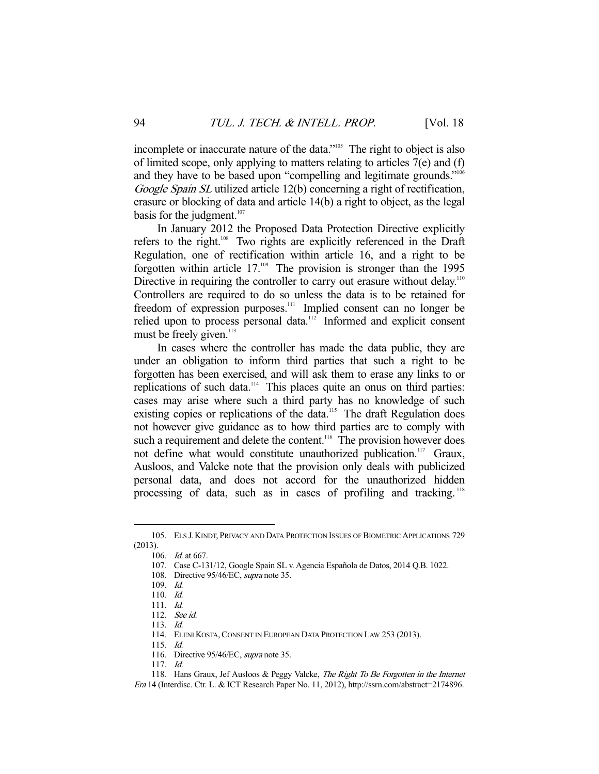incomplete or inaccurate nature of the data."105 The right to object is also of limited scope, only applying to matters relating to articles 7(e) and (f) and they have to be based upon "compelling and legitimate grounds."<sup>106</sup> Google Spain SL utilized article 12(b) concerning a right of rectification, erasure or blocking of data and article 14(b) a right to object, as the legal basis for the judgment. $107$ 

 In January 2012 the Proposed Data Protection Directive explicitly refers to the right.<sup>108</sup> Two rights are explicitly referenced in the Draft Regulation, one of rectification within article 16, and a right to be forgotten within article 17.<sup>109</sup> The provision is stronger than the 1995 Directive in requiring the controller to carry out erasure without delay.<sup>110</sup> Controllers are required to do so unless the data is to be retained for freedom of expression purposes.<sup>111</sup> Implied consent can no longer be relied upon to process personal data. $\frac{1}{2}$  Informed and explicit consent must be freely given.<sup>113</sup>

 In cases where the controller has made the data public, they are under an obligation to inform third parties that such a right to be forgotten has been exercised, and will ask them to erase any links to or replications of such data.<sup>114</sup> This places quite an onus on third parties: cases may arise where such a third party has no knowledge of such existing copies or replications of the data.<sup>115</sup> The draft Regulation does not however give guidance as to how third parties are to comply with such a requirement and delete the content.<sup>116</sup> The provision however does not define what would constitute unauthorized publication.<sup>117</sup> Graux, Ausloos, and Valcke note that the provision only deals with publicized personal data, and does not accord for the unauthorized hidden processing of data, such as in cases of profiling and tracking.<sup>118</sup>

-

115. Id.

117. Id.

 <sup>105.</sup> ELS J. KINDT, PRIVACY AND DATA PROTECTION ISSUES OF BIOMETRIC APPLICATIONS 729 (2013).

 <sup>106.</sup> Id. at 667.

 <sup>107.</sup> Case C-131/12, Google Spain SL v. Agencia Española de Datos, 2014 Q.B. 1022.

<sup>108.</sup> Directive 95/46/EC, *supra* note 35.

 <sup>109.</sup> Id.

 <sup>110.</sup> Id.

 <sup>111.</sup> Id.

 <sup>112.</sup> See id.

 <sup>113.</sup> Id.

 <sup>114.</sup> ELENI KOSTA,CONSENT IN EUROPEAN DATA PROTECTION LAW 253 (2013).

<sup>116.</sup> Directive 95/46/EC, supra note 35.

<sup>118.</sup> Hans Graux, Jef Ausloos & Peggy Valcke, The Right To Be Forgotten in the Internet

Era 14 (Interdisc. Ctr. L. & ICT Research Paper No. 11, 2012), http://ssrn.com/abstract=2174896.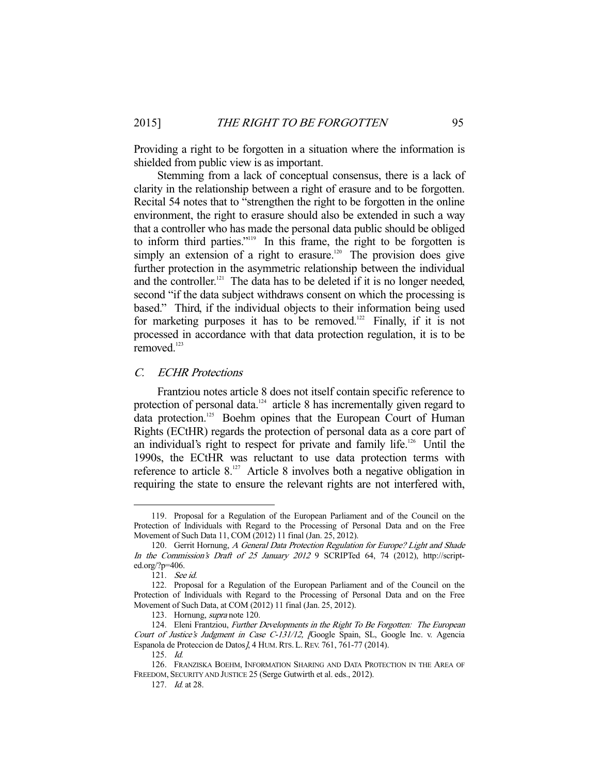Providing a right to be forgotten in a situation where the information is shielded from public view is as important.

 Stemming from a lack of conceptual consensus, there is a lack of clarity in the relationship between a right of erasure and to be forgotten. Recital 54 notes that to "strengthen the right to be forgotten in the online environment, the right to erasure should also be extended in such a way that a controller who has made the personal data public should be obliged to inform third parties."119 In this frame, the right to be forgotten is simply an extension of a right to erasure.<sup>120</sup> The provision does give further protection in the asymmetric relationship between the individual and the controller.<sup>121</sup> The data has to be deleted if it is no longer needed, second "if the data subject withdraws consent on which the processing is based." Third, if the individual objects to their information being used for marketing purposes it has to be removed.<sup>122</sup> Finally, if it is not processed in accordance with that data protection regulation, it is to be removed.<sup>123</sup>

## C. ECHR Protections

 Frantziou notes article 8 does not itself contain specific reference to protection of personal data.<sup>124</sup> article 8 has incrementally given regard to data protection.<sup>125</sup> Boehm opines that the European Court of Human Rights (ECtHR) regards the protection of personal data as a core part of an individual's right to respect for private and family life.<sup>126</sup> Until the 1990s, the ECtHR was reluctant to use data protection terms with reference to article  $8^{127}$  Article 8 involves both a negative obligation in requiring the state to ensure the relevant rights are not interfered with,

 <sup>119.</sup> Proposal for a Regulation of the European Parliament and of the Council on the Protection of Individuals with Regard to the Processing of Personal Data and on the Free Movement of Such Data 11, COM (2012) 11 final (Jan. 25, 2012).

<sup>120.</sup> Gerrit Hornung, A General Data Protection Regulation for Europe? Light and Shade In the Commission's Draft of 25 January 2012 9 SCRIPTed 64, 74 (2012), http://scripted.org/?p=406.

 <sup>121.</sup> See id.

 <sup>122.</sup> Proposal for a Regulation of the European Parliament and of the Council on the Protection of Individuals with Regard to the Processing of Personal Data and on the Free Movement of Such Data, at COM (2012) 11 final (Jan. 25, 2012).

 <sup>123.</sup> Hornung, supra note 120.

<sup>124.</sup> Eleni Frantziou, Further Developments in the Right To Be Forgotten: The European Court of Justice's Judgment in Case C-131/12, [Google Spain, SL, Google Inc. v. Agencia Espanola de Proteccion de Datos J, 4 HUM. RTS. L. REV. 761, 761-77 (2014).

 <sup>125.</sup> Id.

 <sup>126.</sup> FRANZISKA BOEHM, INFORMATION SHARING AND DATA PROTECTION IN THE AREA OF FREEDOM, SECURITY AND JUSTICE 25 (Serge Gutwirth et al. eds., 2012).

<sup>127.</sup> *Id.* at 28.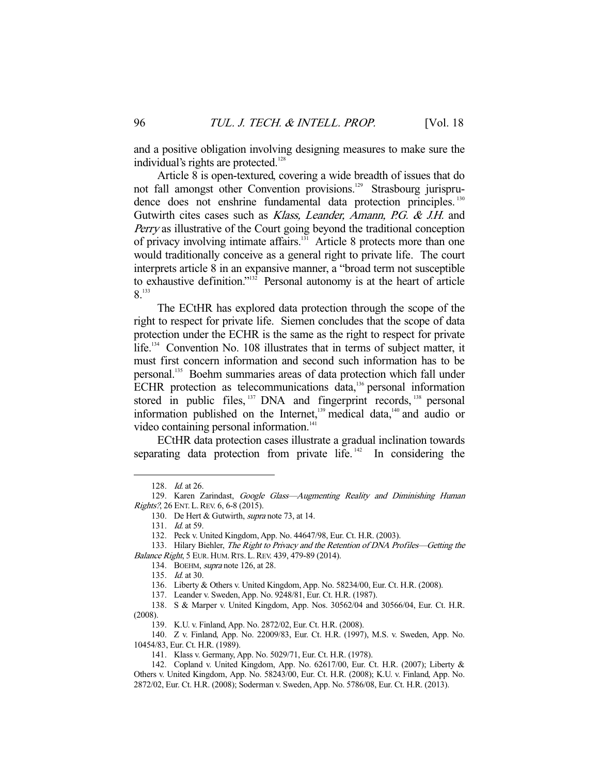and a positive obligation involving designing measures to make sure the individual's rights are protected.<sup>128</sup>

 Article 8 is open-textured, covering a wide breadth of issues that do not fall amongst other Convention provisions.<sup>129</sup> Strasbourg jurisprudence does not enshrine fundamental data protection principles.<sup>130</sup> Gutwirth cites cases such as *Klass*, Leander, Amann, P.G. & J.H. and Perry as illustrative of the Court going beyond the traditional conception of privacy involving intimate affairs.<sup>131</sup> Article 8 protects more than one would traditionally conceive as a general right to private life. The court interprets article 8 in an expansive manner, a "broad term not susceptible to exhaustive definition."132 Personal autonomy is at the heart of article 8.133

 The ECtHR has explored data protection through the scope of the right to respect for private life. Siemen concludes that the scope of data protection under the ECHR is the same as the right to respect for private life.134 Convention No. 108 illustrates that in terms of subject matter, it must first concern information and second such information has to be personal.135 Boehm summaries areas of data protection which fall under ECHR protection as telecommunications data,136 personal information stored in public files, <sup>137</sup> DNA and fingerprint records, <sup>138</sup> personal information published on the Internet,<sup>139</sup> medical data,<sup>140</sup> and audio or video containing personal information.<sup>141</sup>

 ECtHR data protection cases illustrate a gradual inclination towards separating data protection from private life.<sup> $142$ </sup> In considering the

 <sup>128.</sup> Id. at 26.

<sup>129.</sup> Karen Zarindast, Google Glass-Augmenting Reality and Diminishing Human Rights?, 26 ENT. L. REV. 6, 6-8 (2015).

<sup>130.</sup> De Hert & Gutwirth, *supra* note 73, at 14.

<sup>131.</sup> *Id.* at 59.

 <sup>132.</sup> Peck v. United Kingdom, App. No. 44647/98, Eur. Ct. H.R. (2003).

<sup>133.</sup> Hilary Biehler, The Right to Privacy and the Retention of DNA Profiles-Getting the Balance Right, 5 EUR. HUM. RTS. L. REV. 439, 479-89 (2014).

 <sup>134.</sup> BOEHM, supra note 126, at 28.

 <sup>135.</sup> Id. at 30.

 <sup>136.</sup> Liberty & Others v. United Kingdom, App. No. 58234/00, Eur. Ct. H.R. (2008).

 <sup>137.</sup> Leander v. Sweden, App. No. 9248/81, Eur. Ct. H.R. (1987).

 <sup>138.</sup> S & Marper v. United Kingdom, App. Nos. 30562/04 and 30566/04, Eur. Ct. H.R. (2008).

 <sup>139.</sup> K.U. v. Finland, App. No. 2872/02, Eur. Ct. H.R. (2008).

 <sup>140.</sup> Z v. Finland, App. No. 22009/83, Eur. Ct. H.R. (1997), M.S. v. Sweden, App. No. 10454/83, Eur. Ct. H.R. (1989).

 <sup>141.</sup> Klass v. Germany, App. No. 5029/71, Eur. Ct. H.R. (1978).

 <sup>142.</sup> Copland v. United Kingdom, App. No. 62617/00, Eur. Ct. H.R. (2007); Liberty & Others v. United Kingdom, App. No. 58243/00, Eur. Ct. H.R. (2008); K.U. v. Finland, App. No. 2872/02, Eur. Ct. H.R. (2008); Soderman v. Sweden, App. No. 5786/08, Eur. Ct. H.R. (2013).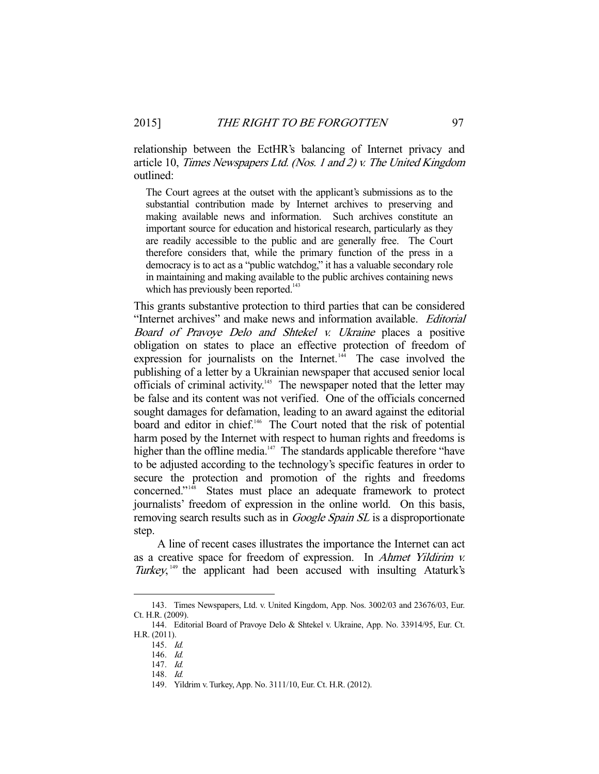relationship between the EctHR's balancing of Internet privacy and article 10, Times Newspapers Ltd. (Nos. 1 and 2) v. The United Kingdom outlined:

The Court agrees at the outset with the applicant's submissions as to the substantial contribution made by Internet archives to preserving and making available news and information. Such archives constitute an important source for education and historical research, particularly as they are readily accessible to the public and are generally free. The Court therefore considers that, while the primary function of the press in a democracy is to act as a "public watchdog," it has a valuable secondary role in maintaining and making available to the public archives containing news which has previously been reported.<sup>143</sup>

This grants substantive protection to third parties that can be considered "Internet archives" and make news and information available. Editorial Board of Pravoye Delo and Shtekel v. Ukraine places a positive obligation on states to place an effective protection of freedom of expression for journalists on the Internet. $144$  The case involved the publishing of a letter by a Ukrainian newspaper that accused senior local officials of criminal activity.<sup>145</sup> The newspaper noted that the letter may be false and its content was not verified. One of the officials concerned sought damages for defamation, leading to an award against the editorial board and editor in chief.<sup>146</sup> The Court noted that the risk of potential harm posed by the Internet with respect to human rights and freedoms is higher than the offline media. $147$  The standards applicable therefore "have to be adjusted according to the technology's specific features in order to secure the protection and promotion of the rights and freedoms concerned."148 States must place an adequate framework to protect journalists' freedom of expression in the online world. On this basis, removing search results such as in *Google Spain SL* is a disproportionate step.

 A line of recent cases illustrates the importance the Internet can act as a creative space for freedom of expression. In Ahmet Yildirim v. Turkey,<sup>149</sup> the applicant had been accused with insulting Ataturk's

 <sup>143.</sup> Times Newspapers, Ltd. v. United Kingdom, App. Nos. 3002/03 and 23676/03, Eur. Ct. H.R. (2009).

 <sup>144.</sup> Editorial Board of Pravoye Delo & Shtekel v. Ukraine, App. No. 33914/95, Eur. Ct. H.R. (2011).

 <sup>145.</sup> Id.

 <sup>146.</sup> Id.

 <sup>147.</sup> Id.

 <sup>148.</sup> Id.

 <sup>149.</sup> Yildrim v. Turkey, App. No. 3111/10, Eur. Ct. H.R. (2012).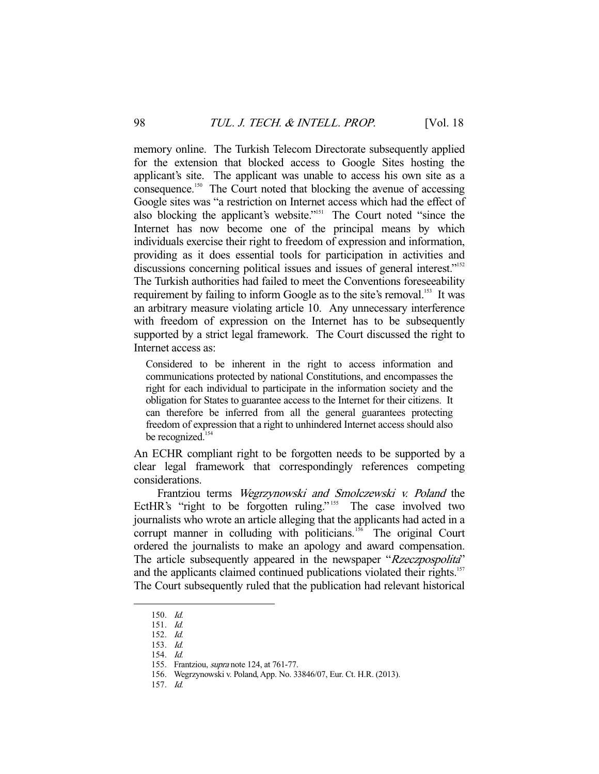memory online. The Turkish Telecom Directorate subsequently applied for the extension that blocked access to Google Sites hosting the applicant's site. The applicant was unable to access his own site as a consequence.<sup>150</sup> The Court noted that blocking the avenue of accessing Google sites was "a restriction on Internet access which had the effect of also blocking the applicant's website."<sup>151</sup> The Court noted "since the Internet has now become one of the principal means by which individuals exercise their right to freedom of expression and information, providing as it does essential tools for participation in activities and discussions concerning political issues and issues of general interest."<sup>152</sup> The Turkish authorities had failed to meet the Conventions foreseeability requirement by failing to inform Google as to the site's removal.<sup>153</sup> It was an arbitrary measure violating article 10. Any unnecessary interference with freedom of expression on the Internet has to be subsequently supported by a strict legal framework. The Court discussed the right to Internet access as:

Considered to be inherent in the right to access information and communications protected by national Constitutions, and encompasses the right for each individual to participate in the information society and the obligation for States to guarantee access to the Internet for their citizens. It can therefore be inferred from all the general guarantees protecting freedom of expression that a right to unhindered Internet access should also be recognized.<sup>154</sup>

An ECHR compliant right to be forgotten needs to be supported by a clear legal framework that correspondingly references competing considerations.

 Frantziou terms Wegrzynowski and Smolczewski v. Poland the EctHR's "right to be forgotten ruling."<sup>155</sup> The case involved two journalists who wrote an article alleging that the applicants had acted in a corrupt manner in colluding with politicians.<sup>156</sup> The original Court ordered the journalists to make an apology and award compensation. The article subsequently appeared in the newspaper "Rzeczpospolita" and the applicants claimed continued publications violated their rights.<sup>157</sup> The Court subsequently ruled that the publication had relevant historical

-

157. Id.

 <sup>150.</sup> Id.

 <sup>151.</sup> Id.

 <sup>152.</sup> Id.

 <sup>153.</sup> Id.

 <sup>154.</sup> Id.

<sup>155.</sup> Frantziou, *supra* note 124, at 761-77.

 <sup>156.</sup> Wegrzynowski v. Poland, App. No. 33846/07, Eur. Ct. H.R. (2013).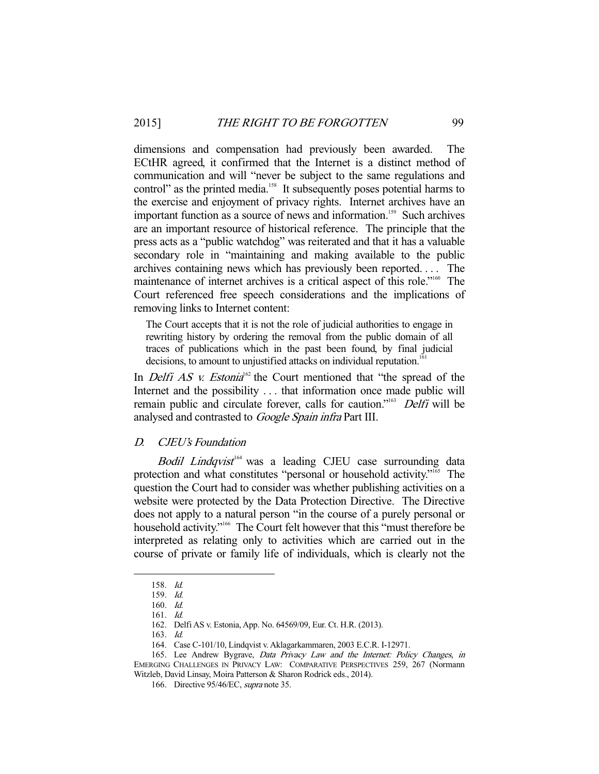dimensions and compensation had previously been awarded. The ECtHR agreed, it confirmed that the Internet is a distinct method of communication and will "never be subject to the same regulations and control" as the printed media.<sup>158</sup> It subsequently poses potential harms to the exercise and enjoyment of privacy rights. Internet archives have an important function as a source of news and information.<sup>159</sup> Such archives are an important resource of historical reference. The principle that the press acts as a "public watchdog" was reiterated and that it has a valuable secondary role in "maintaining and making available to the public archives containing news which has previously been reported. . . . The maintenance of internet archives is a critical aspect of this role."160 The Court referenced free speech considerations and the implications of removing links to Internet content:

The Court accepts that it is not the role of judicial authorities to engage in rewriting history by ordering the removal from the public domain of all traces of publications which in the past been found, by final judicial decisions, to amount to unjustified attacks on individual reputation.<sup>1</sup>

In *Delfi AS v. Estonia*<sup>62</sup> the Court mentioned that "the spread of the Internet and the possibility . . . that information once made public will remain public and circulate forever, calls for caution."<sup>163</sup> Delfi will be analysed and contrasted to Google Spain infra Part III.

## D. CJEU's Foundation

Bodil Lindqvist<sup>164</sup> was a leading CJEU case surrounding data protection and what constitutes "personal or household activity."165 The question the Court had to consider was whether publishing activities on a website were protected by the Data Protection Directive. The Directive does not apply to a natural person "in the course of a purely personal or household activity."<sup>166</sup> The Court felt however that this "must therefore be interpreted as relating only to activities which are carried out in the course of private or family life of individuals, which is clearly not the

 <sup>158.</sup> Id.

 <sup>159.</sup> Id.

 <sup>160.</sup> Id. 161. Id.

 <sup>162.</sup> Delfi AS v. Estonia, App. No. 64569/09, Eur. Ct. H.R. (2013).

 <sup>163.</sup> Id.

 <sup>164.</sup> Case C-101/10, Lindqvist v. Aklagarkammaren, 2003 E.C.R. I-12971.

 <sup>165.</sup> Lee Andrew Bygrave, Data Privacy Law and the Internet: Policy Changes, in EMERGING CHALLENGES IN PRIVACY LAW: COMPARATIVE PERSPECTIVES 259, 267 (Normann Witzleb, David Linsay, Moira Patterson & Sharon Rodrick eds., 2014).

 <sup>166.</sup> Directive 95/46/EC, supra note 35.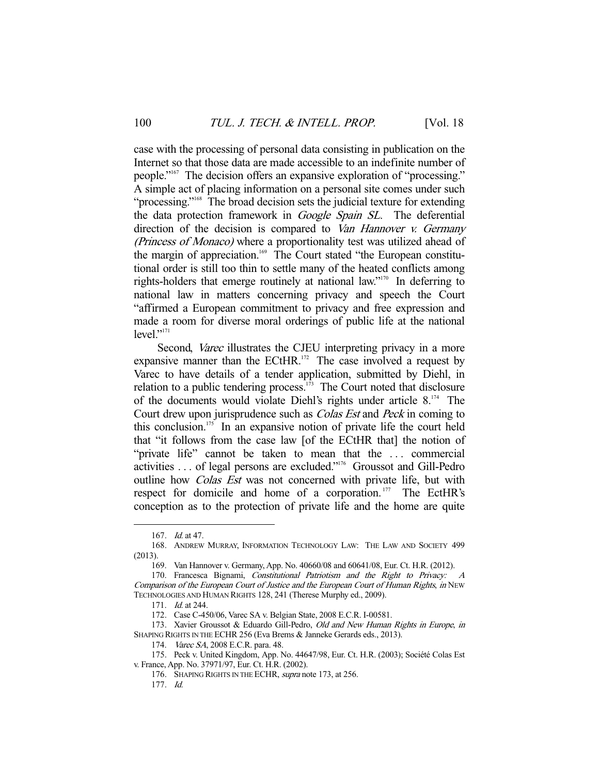case with the processing of personal data consisting in publication on the Internet so that those data are made accessible to an indefinite number of people."<sup>167</sup> The decision offers an expansive exploration of "processing." A simple act of placing information on a personal site comes under such "processing."<sup>168</sup> The broad decision sets the judicial texture for extending the data protection framework in Google Spain SL. The deferential direction of the decision is compared to Van Hannover v. Germany (Princess of Monaco) where a proportionality test was utilized ahead of the margin of appreciation.<sup>169</sup> The Court stated "the European constitutional order is still too thin to settle many of the heated conflicts among rights-holders that emerge routinely at national law."170 In deferring to national law in matters concerning privacy and speech the Court "affirmed a European commitment to privacy and free expression and made a room for diverse moral orderings of public life at the national  $level.$ <sup>"171</sup>"

Second, Varec illustrates the CJEU interpreting privacy in a more expansive manner than the ECtHR. $172$  The case involved a request by Varec to have details of a tender application, submitted by Diehl, in relation to a public tendering process. $173$  The Court noted that disclosure of the documents would violate Diehl's rights under article  $8^{174}$  The Court drew upon jurisprudence such as Colas Est and Peck in coming to this conclusion.<sup>175</sup> In an expansive notion of private life the court held that "it follows from the case law [of the ECtHR that] the notion of "private life" cannot be taken to mean that the ... commercial activities . . . of legal persons are excluded."176 Groussot and Gill-Pedro outline how *Colas Est* was not concerned with private life, but with respect for domicile and home of a corporation.<sup>177</sup> The EctHR's conception as to the protection of private life and the home are quite

 <sup>167.</sup> Id. at 47.

 <sup>168.</sup> ANDREW MURRAY, INFORMATION TECHNOLOGY LAW: THE LAW AND SOCIETY 499 (2013).

 <sup>169.</sup> Van Hannover v. Germany, App. No. 40660/08 and 60641/08, Eur. Ct. H.R. (2012).

 <sup>170.</sup> Francesca Bignami, Constitutional Patriotism and the Right to Privacy: A Comparison of the European Court of Justice and the European Court of Human Rights, in NEW TECHNOLOGIES AND HUMAN RIGHTS 128, 241 (Therese Murphy ed., 2009).

 <sup>171.</sup> Id. at 244.

 <sup>172.</sup> Case C-450/06, Varec SA v. Belgian State, 2008 E.C.R. I-00581.

<sup>173.</sup> Xavier Groussot & Eduardo Gill-Pedro, Old and New Human Rights in Europe, in SHAPING RIGHTS IN THE ECHR 256 (Eva Brems & Janneke Gerards eds., 2013).

<sup>174.</sup> Varec SA, 2008 E.C.R. para. 48.

 <sup>175.</sup> Peck v. United Kingdom, App. No. 44647/98, Eur. Ct. H.R. (2003); Société Colas Est v. France, App. No. 37971/97, Eur. Ct. H.R. (2002).

<sup>176.</sup> SHAPING RIGHTS IN THE ECHR, supra note 173, at 256.

 <sup>177.</sup> Id.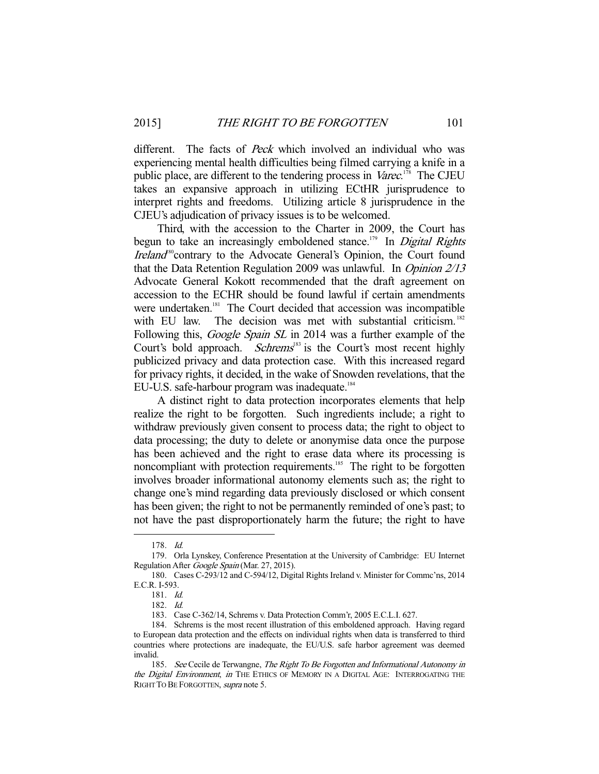different. The facts of Peck which involved an individual who was experiencing mental health difficulties being filmed carrying a knife in a public place, are different to the tendering process in Varec.<sup>178</sup> The CJEU takes an expansive approach in utilizing ECtHR jurisprudence to interpret rights and freedoms. Utilizing article 8 jurisprudence in the CJEU's adjudication of privacy issues is to be welcomed.

 Third, with the accession to the Charter in 2009, the Court has begun to take an increasingly emboldened stance.<sup>179</sup> In *Digital Rights* Ireland<sup>80</sup>contrary to the Advocate General's Opinion, the Court found that the Data Retention Regulation 2009 was unlawful. In Opinion 2/13 Advocate General Kokott recommended that the draft agreement on accession to the ECHR should be found lawful if certain amendments were undertaken.<sup>181</sup> The Court decided that accession was incompatible with EU law. The decision was met with substantial criticism.<sup>182</sup> Following this, *Google Spain SL* in 2014 was a further example of the Court's bold approach. *Schrems*<sup>183</sup> is the Court's most recent highly publicized privacy and data protection case. With this increased regard for privacy rights, it decided, in the wake of Snowden revelations, that the EU-U.S. safe-harbour program was inadequate.<sup>184</sup>

 A distinct right to data protection incorporates elements that help realize the right to be forgotten. Such ingredients include; a right to withdraw previously given consent to process data; the right to object to data processing; the duty to delete or anonymise data once the purpose has been achieved and the right to erase data where its processing is noncompliant with protection requirements.<sup>185</sup> The right to be forgotten involves broader informational autonomy elements such as; the right to change one's mind regarding data previously disclosed or which consent has been given; the right to not be permanently reminded of one's past; to not have the past disproportionately harm the future; the right to have

 <sup>178.</sup> Id.

 <sup>179.</sup> Orla Lynskey, Conference Presentation at the University of Cambridge: EU Internet Regulation After Google Spain (Mar. 27, 2015).

 <sup>180.</sup> Cases C-293/12 and C-594/12, Digital Rights Ireland v. Minister for Commc'ns, 2014 E.C.R. I-593.

 <sup>181.</sup> Id.

 <sup>182.</sup> Id.

 <sup>183.</sup> Case C-362/14, Schrems v. Data Protection Comm'r, 2005 E.C.L.I. 627.

 <sup>184.</sup> Schrems is the most recent illustration of this emboldened approach. Having regard to European data protection and the effects on individual rights when data is transferred to third countries where protections are inadequate, the EU/U.S. safe harbor agreement was deemed invalid.

<sup>185.</sup> See Cecile de Terwangne, The Right To Be Forgotten and Informational Autonomy in the Digital Environment, in THE ETHICS OF MEMORY IN A DIGITAL AGE: INTERROGATING THE RIGHT TO BE FORGOTTEN, supra note 5.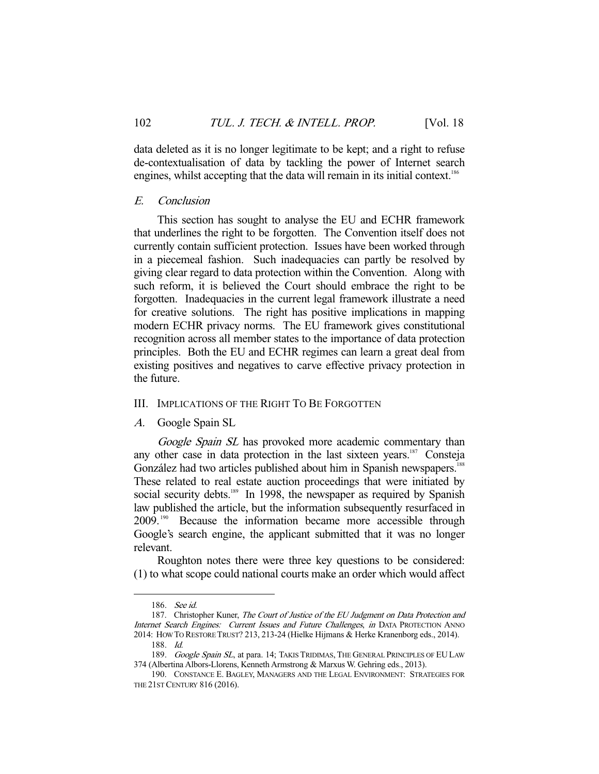data deleted as it is no longer legitimate to be kept; and a right to refuse de-contextualisation of data by tackling the power of Internet search engines, whilst accepting that the data will remain in its initial context.<sup>186</sup>

## E. Conclusion

 This section has sought to analyse the EU and ECHR framework that underlines the right to be forgotten. The Convention itself does not currently contain sufficient protection. Issues have been worked through in a piecemeal fashion. Such inadequacies can partly be resolved by giving clear regard to data protection within the Convention. Along with such reform, it is believed the Court should embrace the right to be forgotten. Inadequacies in the current legal framework illustrate a need for creative solutions. The right has positive implications in mapping modern ECHR privacy norms. The EU framework gives constitutional recognition across all member states to the importance of data protection principles. Both the EU and ECHR regimes can learn a great deal from existing positives and negatives to carve effective privacy protection in the future.

## III. IMPLICATIONS OF THE RIGHT TO BE FORGOTTEN

A. Google Spain SL

Google Spain SL has provoked more academic commentary than any other case in data protection in the last sixteen years.<sup>187</sup> Consteja González had two articles published about him in Spanish newspapers.<sup>188</sup> These related to real estate auction proceedings that were initiated by social security debts.<sup>189</sup> In 1998, the newspaper as required by Spanish law published the article, but the information subsequently resurfaced in 2009. 190 Because the information became more accessible through Google's search engine, the applicant submitted that it was no longer relevant.

 Roughton notes there were three key questions to be considered: (1) to what scope could national courts make an order which would affect

 <sup>186.</sup> See id.

<sup>187.</sup> Christopher Kuner, The Court of Justice of the EU Judgment on Data Protection and Internet Search Engines: Current Issues and Future Challenges, in DATA PROTECTION ANNO 2014: HOW TO RESTORE TRUST? 213, 213-24 (Hielke Hijmans & Herke Kranenborg eds., 2014).

 <sup>188.</sup> Id.

<sup>189.</sup> Google Spain SL, at para. 14; TAKIS TRIDIMAS, THE GENERAL PRINCIPLES OF EU LAW 374 (Albertina Albors-Llorens, Kenneth Armstrong & Marxus W. Gehring eds., 2013).

 <sup>190.</sup> CONSTANCE E. BAGLEY, MANAGERS AND THE LEGAL ENVIRONMENT: STRATEGIES FOR THE 21ST CENTURY 816 (2016).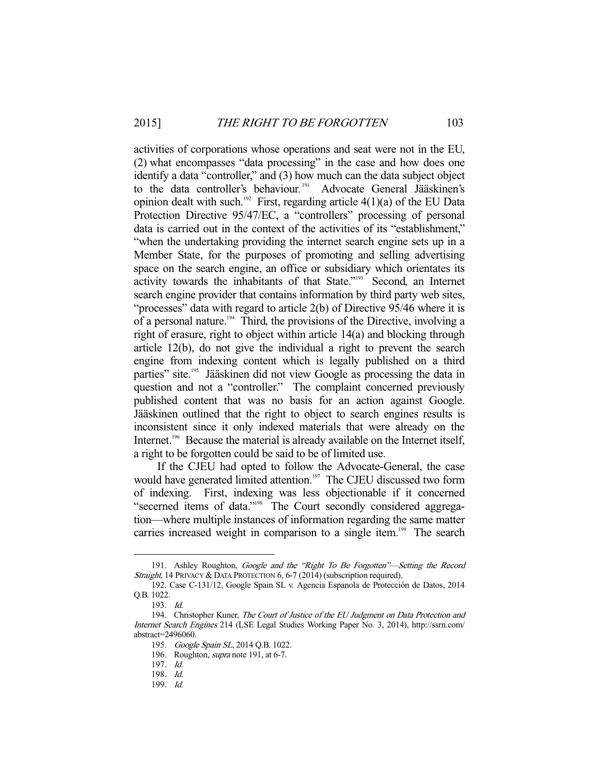activities of corporations whose operations and seat were not in the EU, (2) what encompasses "data processing" in the case and how does one identify a data "controller," and (3) how much can the data subject object to the data controller's behaviour.<sup>191</sup> Advocate General Jääskinen's opinion dealt with such.<sup>192</sup> First, regarding article  $4(1)(a)$  of the EU Data Protection Directive 95/47/EC, a "controllers" processing of personal data is carried out in the context of the activities of its "establishment," "when the undertaking providing the internet search engine sets up in a Member State, for the purposes of promoting and selling advertising space on the search engine, an office or subsidiary which orientates its activity towards the inhabitants of that State."193 Second, an Internet search engine provider that contains information by third party web sites, "processes" data with regard to article 2(b) of Directive 95/46 where it is of a personal nature.<sup>194</sup> Third, the provisions of the Directive, involving a right of erasure, right to object within article 14(a) and blocking through article 12(b), do not give the individual a right to prevent the search engine from indexing content which is legally published on a third parties" site.<sup>195</sup> Jääskinen did not view Google as processing the data in question and not a "controller." The complaint concerned previously published content that was no basis for an action against Google. Jääskinen outlined that the right to object to search engines results is inconsistent since it only indexed materials that were already on the Internet.<sup>196</sup> Because the material is already available on the Internet itself, a right to be forgotten could be said to be of limited use.

 If the CJEU had opted to follow the Advocate-General, the case would have generated limited attention.<sup>197</sup> The CJEU discussed two form of indexing. First, indexing was less objectionable if it concerned "secerned items of data."<sup>198</sup> The Court secondly considered aggregation—where multiple instances of information regarding the same matter carries increased weight in comparison to a single item.<sup>199</sup> The search

<sup>191.</sup> Ashley Roughton, *Google and the "Right To Be Forgotten"—Setting the Record* Straight, 14 PRIVACY & DATA PROTECTION 6, 6-7 (2014) (subscription required).

 <sup>192.</sup> Case C-131/12, Google Spain SL v. Agencia Espanola de Protección de Datos, 2014 Q.B. 1022.

 <sup>193.</sup> Id.

<sup>194.</sup> Christopher Kuner, The Court of Justice of the EU Judgment on Data Protection and Internet Search Engines 214 (LSE Legal Studies Working Paper No. 3, 2014), http://ssrn.com/ abstract=2496060.

<sup>195.</sup> Google Spain SL, 2014 Q.B. 1022.

<sup>196.</sup> Roughton, *supra* note 191, at 6-7.

 <sup>197.</sup> Id. 198. Id.

 <sup>199.</sup> Id.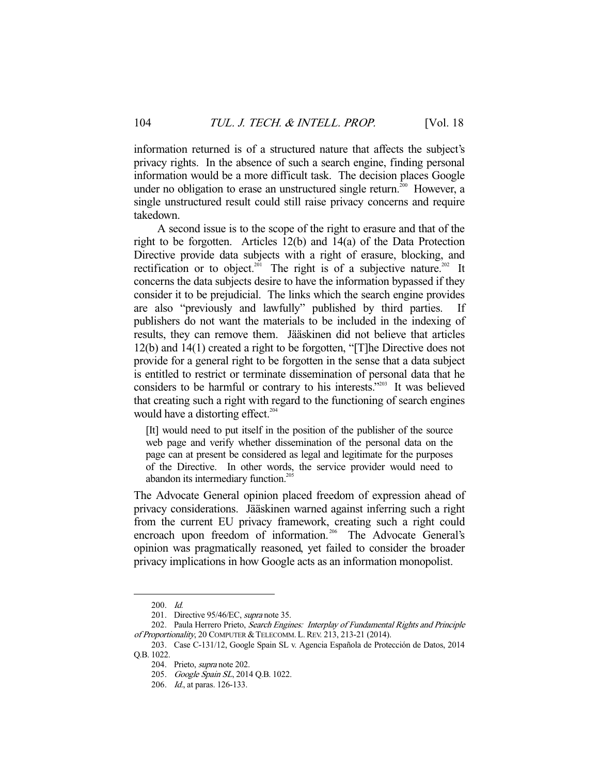information returned is of a structured nature that affects the subject's privacy rights. In the absence of such a search engine, finding personal information would be a more difficult task. The decision places Google under no obligation to erase an unstructured single return.<sup>200</sup> However, a single unstructured result could still raise privacy concerns and require takedown.

 A second issue is to the scope of the right to erasure and that of the right to be forgotten. Articles 12(b) and 14(a) of the Data Protection Directive provide data subjects with a right of erasure, blocking, and rectification or to object.<sup>201</sup> The right is of a subjective nature.<sup>202</sup> It concerns the data subjects desire to have the information bypassed if they consider it to be prejudicial. The links which the search engine provides are also "previously and lawfully" published by third parties. If publishers do not want the materials to be included in the indexing of results, they can remove them. Jääskinen did not believe that articles 12(b) and 14(1) created a right to be forgotten, "[T]he Directive does not provide for a general right to be forgotten in the sense that a data subject is entitled to restrict or terminate dissemination of personal data that he considers to be harmful or contrary to his interests."203 It was believed that creating such a right with regard to the functioning of search engines would have a distorting effect.<sup>204</sup>

[It] would need to put itself in the position of the publisher of the source web page and verify whether dissemination of the personal data on the page can at present be considered as legal and legitimate for the purposes of the Directive. In other words, the service provider would need to abandon its intermediary function.<sup>205</sup>

The Advocate General opinion placed freedom of expression ahead of privacy considerations. Jääskinen warned against inferring such a right from the current EU privacy framework, creating such a right could encroach upon freedom of information.<sup>206</sup> The Advocate General's opinion was pragmatically reasoned, yet failed to consider the broader privacy implications in how Google acts as an information monopolist.

 <sup>200.</sup> Id.

 <sup>201.</sup> Directive 95/46/EC, supra note 35.

<sup>202.</sup> Paula Herrero Prieto, Search Engines: Interplay of Fundamental Rights and Principle of Proportionality, 20 COMPUTER & TELECOMM. L. REV. 213, 213-21 (2014).

 <sup>203.</sup> Case C-131/12, Google Spain SL v. Agencia Española de Protección de Datos, 2014 Q.B. 1022.

 <sup>204.</sup> Prieto, supra note 202.

<sup>205.</sup> Google Spain SL, 2014 Q.B. 1022.

 <sup>206.</sup> Id., at paras. 126-133.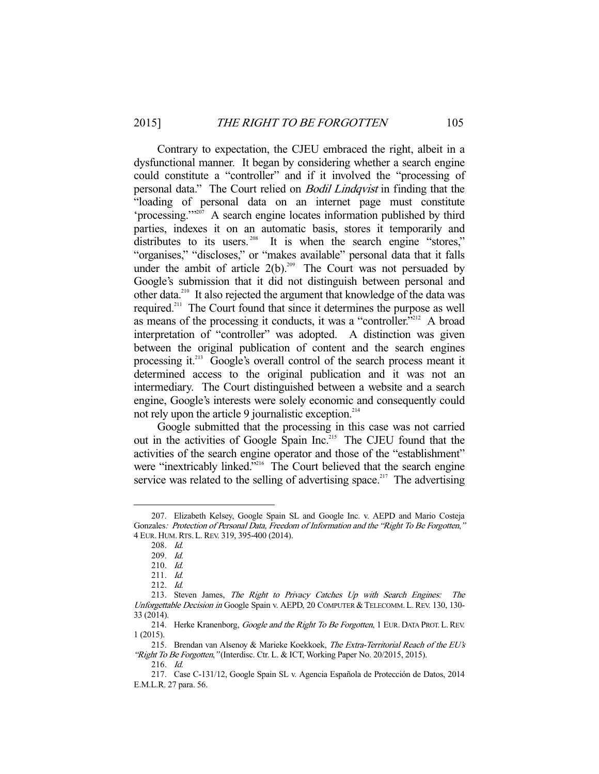Contrary to expectation, the CJEU embraced the right, albeit in a dysfunctional manner. It began by considering whether a search engine could constitute a "controller" and if it involved the "processing of personal data." The Court relied on Bodil Lindqvist in finding that the "loading of personal data on an internet page must constitute 'processing.'"207 A search engine locates information published by third parties, indexes it on an automatic basis, stores it temporarily and distributes to its users.<sup>208</sup> It is when the search engine "stores," "organises," "discloses," or "makes available" personal data that it falls under the ambit of article  $2(b)$ .<sup>209</sup> The Court was not persuaded by Google's submission that it did not distinguish between personal and other data.210 It also rejected the argument that knowledge of the data was required.211 The Court found that since it determines the purpose as well as means of the processing it conducts, it was a "controller."<sup>212</sup> A broad interpretation of "controller" was adopted. A distinction was given between the original publication of content and the search engines processing it.<sup>213</sup> Google's overall control of the search process meant it determined access to the original publication and it was not an intermediary. The Court distinguished between a website and a search engine, Google's interests were solely economic and consequently could not rely upon the article 9 journalistic exception.<sup>214</sup>

 Google submitted that the processing in this case was not carried out in the activities of Google Spain Inc.<sup>215</sup> The CJEU found that the activities of the search engine operator and those of the "establishment" were "inextricably linked."<sup>216</sup> The Court believed that the search engine service was related to the selling of advertising space.<sup>217</sup> The advertising

 <sup>207.</sup> Elizabeth Kelsey, Google Spain SL and Google Inc. v. AEPD and Mario Costeja Gonzales: Protection of Personal Data, Freedom of Information and the "Right To Be Forgotten," 4 EUR. HUM.RTS. L.REV. 319, 395-400 (2014).

 <sup>208.</sup> Id.

 <sup>209.</sup> Id.

 <sup>210.</sup> Id.

 <sup>211.</sup> Id.

 <sup>212.</sup> Id.

 <sup>213.</sup> Steven James, The Right to Privacy Catches Up with Search Engines: The Unforgettable Decision in Google Spain v. AEPD, 20 COMPUTER &TELECOMM. L.REV. 130, 130- 33 (2014).

<sup>214.</sup> Herke Kranenborg, Google and the Right To Be Forgotten, 1 EUR. DATA PROT. L. REV. 1 (2015).

<sup>215.</sup> Brendan van Alsenoy & Marieke Koekkoek, The Extra-Territorial Reach of the EU's "Right To Be Forgotten," (Interdisc. Ctr. L. & ICT, Working Paper No. 20/2015, 2015).

 <sup>216.</sup> Id.

 <sup>217.</sup> Case C-131/12, Google Spain SL v. Agencia Española de Protección de Datos, 2014 E.M.L.R. 27 para. 56.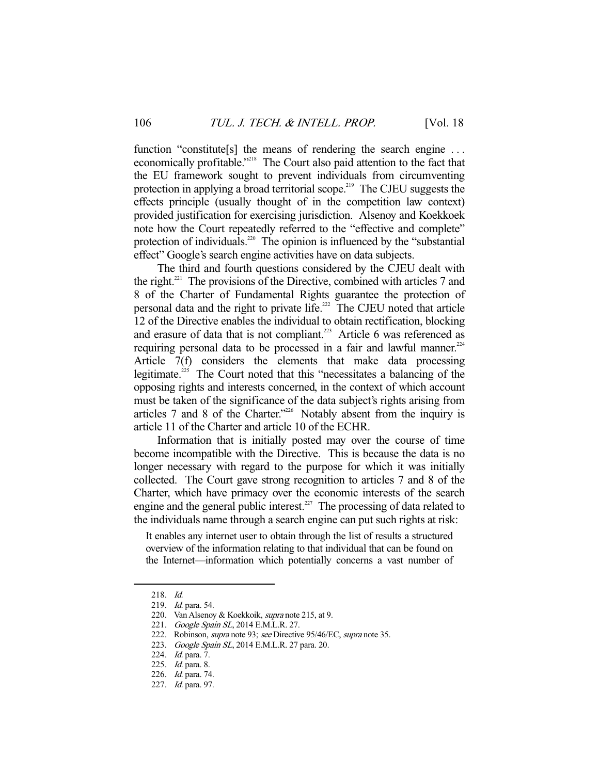function "constitute[s] the means of rendering the search engine ... economically profitable."<sup>218</sup> The Court also paid attention to the fact that the EU framework sought to prevent individuals from circumventing protection in applying a broad territorial scope.<sup>219</sup> The CJEU suggests the effects principle (usually thought of in the competition law context) provided justification for exercising jurisdiction. Alsenoy and Koekkoek note how the Court repeatedly referred to the "effective and complete" protection of individuals.<sup>220</sup> The opinion is influenced by the "substantial" effect" Google's search engine activities have on data subjects.

 The third and fourth questions considered by the CJEU dealt with the right.<sup>221</sup> The provisions of the Directive, combined with articles  $7$  and 8 of the Charter of Fundamental Rights guarantee the protection of personal data and the right to private life.<sup>222</sup> The CJEU noted that article 12 of the Directive enables the individual to obtain rectification, blocking and erasure of data that is not compliant.<sup>223</sup> Article 6 was referenced as requiring personal data to be processed in a fair and lawful manner.<sup>224</sup> Article 7(f) considers the elements that make data processing legitimate.<sup>225</sup> The Court noted that this "necessitates a balancing of the opposing rights and interests concerned, in the context of which account must be taken of the significance of the data subject's rights arising from articles 7 and 8 of the Charter."226 Notably absent from the inquiry is article 11 of the Charter and article 10 of the ECHR.

 Information that is initially posted may over the course of time become incompatible with the Directive. This is because the data is no longer necessary with regard to the purpose for which it was initially collected. The Court gave strong recognition to articles 7 and 8 of the Charter, which have primacy over the economic interests of the search engine and the general public interest.<sup>227</sup> The processing of data related to the individuals name through a search engine can put such rights at risk:

It enables any internet user to obtain through the list of results a structured overview of the information relating to that individual that can be found on the Internet—information which potentially concerns a vast number of

 <sup>218.</sup> Id.

 <sup>219.</sup> Id. para. 54.

 <sup>220.</sup> Van Alsenoy & Koekkoik, supra note 215, at 9.

<sup>221.</sup> Google Spain SL, 2014 E.M.L.R. 27.

<sup>222.</sup> Robinson, *supra* note 93; see Directive 95/46/EC, supra note 35.

<sup>223.</sup> Google Spain SL, 2014 E.M.L.R. 27 para. 20.

 <sup>224.</sup> Id. para. 7.

 <sup>225.</sup> Id. para. 8.

 <sup>226.</sup> Id. para. 74.

 <sup>227.</sup> Id. para. 97.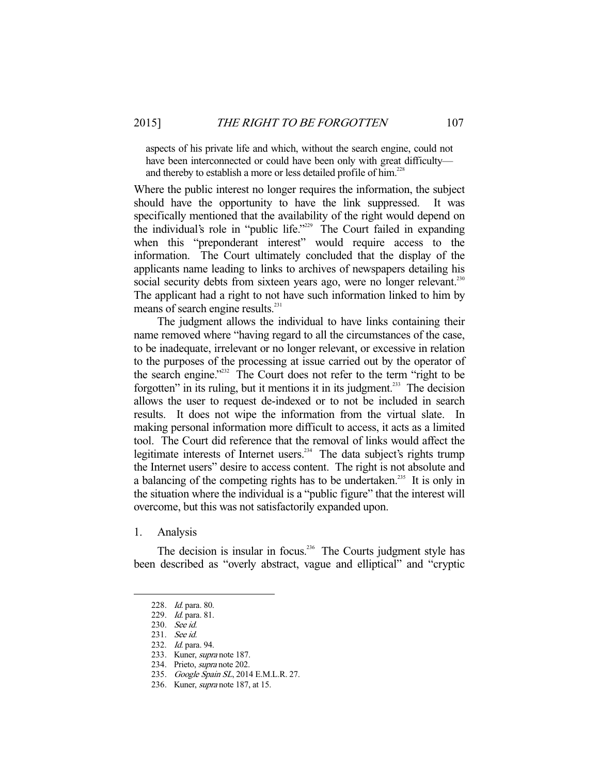aspects of his private life and which, without the search engine, could not have been interconnected or could have been only with great difficulty and thereby to establish a more or less detailed profile of him.<sup>228</sup>

Where the public interest no longer requires the information, the subject should have the opportunity to have the link suppressed. It was specifically mentioned that the availability of the right would depend on the individual's role in "public life."229 The Court failed in expanding when this "preponderant interest" would require access to the information. The Court ultimately concluded that the display of the applicants name leading to links to archives of newspapers detailing his social security debts from sixteen years ago, were no longer relevant.<sup>230</sup> The applicant had a right to not have such information linked to him by means of search engine results.<sup>231</sup>

 The judgment allows the individual to have links containing their name removed where "having regard to all the circumstances of the case, to be inadequate, irrelevant or no longer relevant, or excessive in relation to the purposes of the processing at issue carried out by the operator of the search engine."232 The Court does not refer to the term "right to be forgotten" in its ruling, but it mentions it in its judgment.<sup>233</sup> The decision allows the user to request de-indexed or to not be included in search results. It does not wipe the information from the virtual slate. In making personal information more difficult to access, it acts as a limited tool. The Court did reference that the removal of links would affect the legitimate interests of Internet users.234 The data subject's rights trump the Internet users" desire to access content. The right is not absolute and a balancing of the competing rights has to be undertaken.<sup>235</sup> It is only in the situation where the individual is a "public figure" that the interest will overcome, but this was not satisfactorily expanded upon.

1. Analysis

-

The decision is insular in focus.<sup>236</sup> The Courts judgment style has been described as "overly abstract, vague and elliptical" and "cryptic

 <sup>228.</sup> Id. para. 80.

 <sup>229.</sup> Id. para. 81.

 <sup>230.</sup> See id.

 <sup>231.</sup> See id.

 <sup>232.</sup> Id. para. 94.

 <sup>233.</sup> Kuner, supra note 187.

 <sup>234.</sup> Prieto, supra note 202.

<sup>235.</sup> Google Spain SL, 2014 E.M.L.R. 27.

 <sup>236.</sup> Kuner, supra note 187, at 15.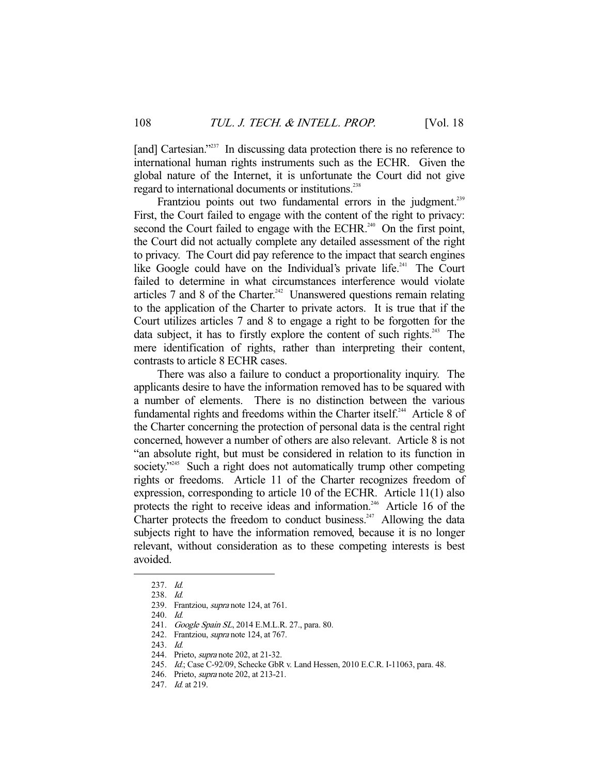[and] Cartesian."<sup>237</sup> In discussing data protection there is no reference to international human rights instruments such as the ECHR. Given the global nature of the Internet, it is unfortunate the Court did not give regard to international documents or institutions.<sup>238</sup>

Frantziou points out two fundamental errors in the judgment.<sup>239</sup> First, the Court failed to engage with the content of the right to privacy: second the Court failed to engage with the ECHR.<sup>240</sup> On the first point, the Court did not actually complete any detailed assessment of the right to privacy. The Court did pay reference to the impact that search engines like Google could have on the Individual's private life.<sup>241</sup> The Court failed to determine in what circumstances interference would violate articles 7 and 8 of the Charter.<sup>242</sup> Unanswered questions remain relating to the application of the Charter to private actors. It is true that if the Court utilizes articles 7 and 8 to engage a right to be forgotten for the data subject, it has to firstly explore the content of such rights.<sup>243</sup> The mere identification of rights, rather than interpreting their content, contrasts to article 8 ECHR cases.

 There was also a failure to conduct a proportionality inquiry. The applicants desire to have the information removed has to be squared with a number of elements. There is no distinction between the various fundamental rights and freedoms within the Charter itself.<sup>244</sup> Article 8 of the Charter concerning the protection of personal data is the central right concerned, however a number of others are also relevant. Article 8 is not "an absolute right, but must be considered in relation to its function in society."<sup>245</sup> Such a right does not automatically trump other competing rights or freedoms. Article 11 of the Charter recognizes freedom of expression, corresponding to article 10 of the ECHR. Article 11(1) also protects the right to receive ideas and information.<sup>246</sup> Article 16 of the Charter protects the freedom to conduct business.<sup>247</sup> Allowing the data subjects right to have the information removed, because it is no longer relevant, without consideration as to these competing interests is best avoided.

 <sup>237.</sup> Id.

 <sup>238.</sup> Id.

 <sup>239.</sup> Frantziou, supra note 124, at 761.

 <sup>240.</sup> Id.

<sup>241.</sup> Google Spain SL, 2014 E.M.L.R. 27., para. 80.

<sup>242.</sup> Frantziou, *supra* note 124, at 767.

 <sup>243.</sup> Id.

 <sup>244.</sup> Prieto, supra note 202, at 21-32.

 <sup>245.</sup> Id.; Case C-92/09, Schecke GbR v. Land Hessen, 2010 E.C.R. I-11063, para. 48.

 <sup>246.</sup> Prieto, supra note 202, at 213-21.

 <sup>247.</sup> Id. at 219.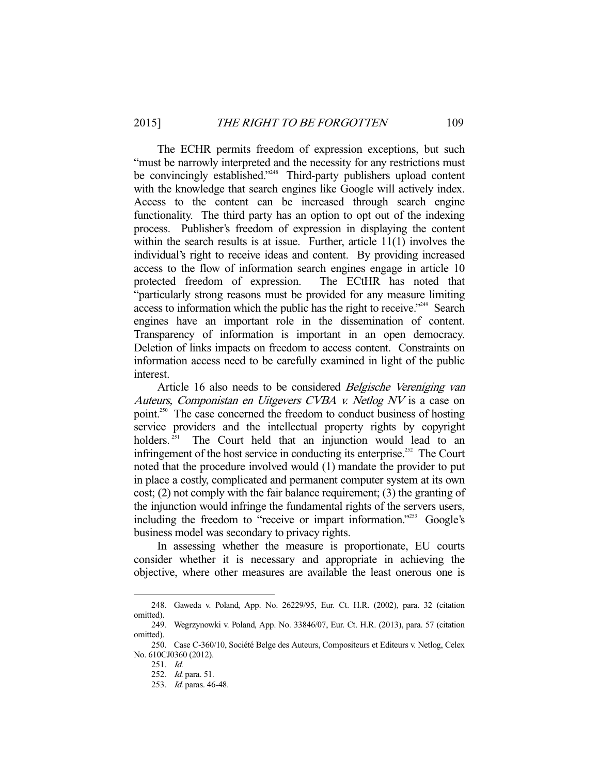The ECHR permits freedom of expression exceptions, but such "must be narrowly interpreted and the necessity for any restrictions must be convincingly established."<sup>248</sup> Third-party publishers upload content with the knowledge that search engines like Google will actively index. Access to the content can be increased through search engine functionality. The third party has an option to opt out of the indexing process. Publisher's freedom of expression in displaying the content within the search results is at issue. Further, article 11(1) involves the individual's right to receive ideas and content. By providing increased access to the flow of information search engines engage in article 10 protected freedom of expression. The ECtHR has noted that "particularly strong reasons must be provided for any measure limiting access to information which the public has the right to receive."<sup>249</sup> Search engines have an important role in the dissemination of content. Transparency of information is important in an open democracy. Deletion of links impacts on freedom to access content. Constraints on information access need to be carefully examined in light of the public interest.

 Article 16 also needs to be considered Belgische Vereniging van Auteurs, Componistan en Uitgevers CVBA v. Netlog NV is a case on point.<sup>250</sup> The case concerned the freedom to conduct business of hosting service providers and the intellectual property rights by copyright holders.<sup>251</sup> The Court held that an injunction would lead to an infringement of the host service in conducting its enterprise.<sup> $252$ </sup> The Court noted that the procedure involved would (1) mandate the provider to put in place a costly, complicated and permanent computer system at its own cost; (2) not comply with the fair balance requirement; (3) the granting of the injunction would infringe the fundamental rights of the servers users, including the freedom to "receive or impart information."<sup>253</sup> Google's business model was secondary to privacy rights.

 In assessing whether the measure is proportionate, EU courts consider whether it is necessary and appropriate in achieving the objective, where other measures are available the least onerous one is

 <sup>248.</sup> Gaweda v. Poland, App. No. 26229/95, Eur. Ct. H.R. (2002), para. 32 (citation omitted).

 <sup>249.</sup> Wegrzynowki v. Poland, App. No. 33846/07, Eur. Ct. H.R. (2013), para. 57 (citation omitted).

 <sup>250.</sup> Case C-360/10, Société Belge des Auteurs, Compositeurs et Editeurs v. Netlog, Celex No. 610CJ0360 (2012).

 <sup>251.</sup> Id.

 <sup>252.</sup> Id. para. 51.

 <sup>253.</sup> Id. paras. 46-48.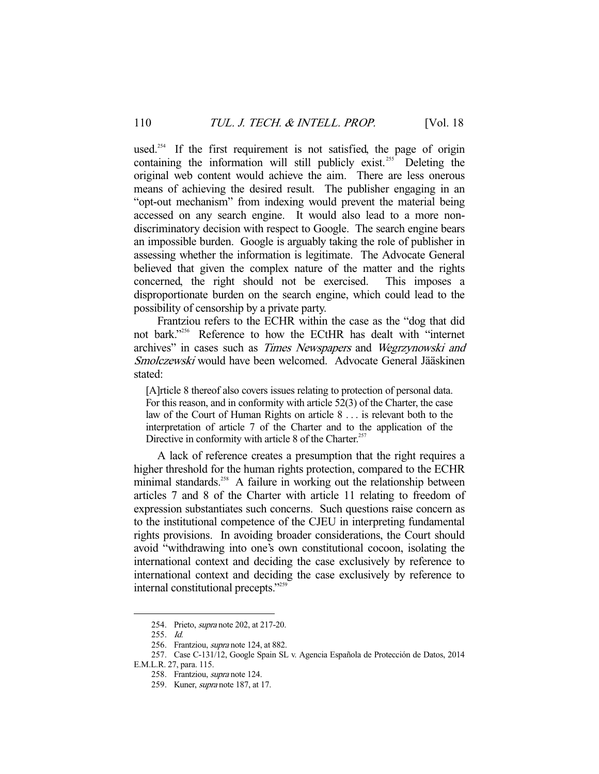used.<sup>254</sup> If the first requirement is not satisfied, the page of origin containing the information will still publicly exist.<sup>255</sup> Deleting the original web content would achieve the aim. There are less onerous means of achieving the desired result. The publisher engaging in an "opt-out mechanism" from indexing would prevent the material being accessed on any search engine. It would also lead to a more nondiscriminatory decision with respect to Google. The search engine bears an impossible burden. Google is arguably taking the role of publisher in assessing whether the information is legitimate. The Advocate General believed that given the complex nature of the matter and the rights concerned, the right should not be exercised. This imposes a disproportionate burden on the search engine, which could lead to the possibility of censorship by a private party.

 Frantziou refers to the ECHR within the case as the "dog that did not bark."<sup>256</sup> Reference to how the ECtHR has dealt with "internet archives" in cases such as Times Newspapers and Wegrzynowski and Smolczewski would have been welcomed. Advocate General Jääskinen stated:

[A]rticle 8 thereof also covers issues relating to protection of personal data. For this reason, and in conformity with article 52(3) of the Charter, the case law of the Court of Human Rights on article 8 . . . is relevant both to the interpretation of article 7 of the Charter and to the application of the Directive in conformity with article 8 of the Charter.<sup>257</sup>

 A lack of reference creates a presumption that the right requires a higher threshold for the human rights protection, compared to the ECHR minimal standards.<sup>258</sup> A failure in working out the relationship between articles 7 and 8 of the Charter with article 11 relating to freedom of expression substantiates such concerns. Such questions raise concern as to the institutional competence of the CJEU in interpreting fundamental rights provisions. In avoiding broader considerations, the Court should avoid "withdrawing into one's own constitutional cocoon, isolating the international context and deciding the case exclusively by reference to international context and deciding the case exclusively by reference to internal constitutional precepts."<sup>259</sup>

 <sup>254.</sup> Prieto, supra note 202, at 217-20.

 <sup>255.</sup> Id.

<sup>256.</sup> Frantziou, *supra* note 124, at 882.

 <sup>257.</sup> Case C-131/12, Google Spain SL v. Agencia Española de Protección de Datos, 2014

E.M.L.R. 27, para. 115.

 <sup>258.</sup> Frantziou, supra note 124.

 <sup>259.</sup> Kuner, supra note 187, at 17.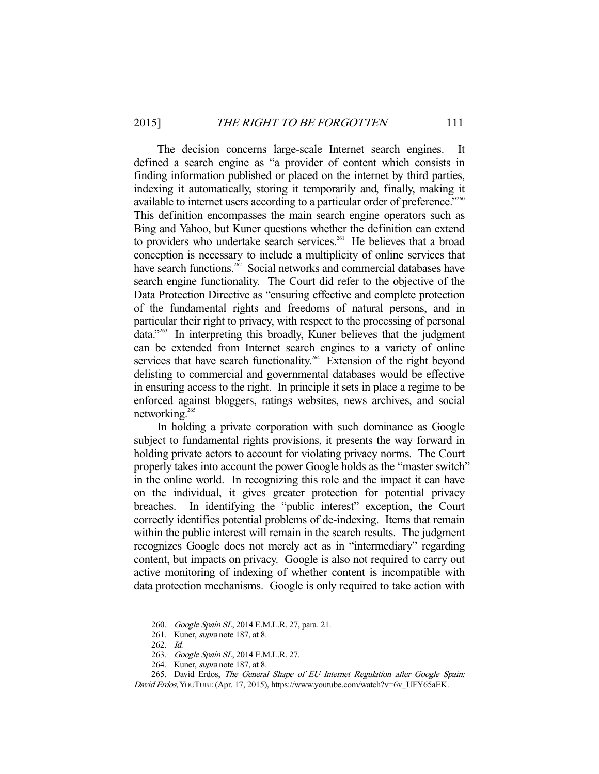The decision concerns large-scale Internet search engines. It defined a search engine as "a provider of content which consists in finding information published or placed on the internet by third parties, indexing it automatically, storing it temporarily and, finally, making it available to internet users according to a particular order of preference."<sup>260</sup> This definition encompasses the main search engine operators such as Bing and Yahoo, but Kuner questions whether the definition can extend to providers who undertake search services.<sup>261</sup> He believes that a broad conception is necessary to include a multiplicity of online services that have search functions.<sup>262</sup> Social networks and commercial databases have search engine functionality. The Court did refer to the objective of the Data Protection Directive as "ensuring effective and complete protection of the fundamental rights and freedoms of natural persons, and in particular their right to privacy, with respect to the processing of personal data."263 In interpreting this broadly, Kuner believes that the judgment can be extended from Internet search engines to a variety of online services that have search functionality.<sup>264</sup> Extension of the right beyond delisting to commercial and governmental databases would be effective in ensuring access to the right. In principle it sets in place a regime to be enforced against bloggers, ratings websites, news archives, and social networking.<sup>265</sup>

 In holding a private corporation with such dominance as Google subject to fundamental rights provisions, it presents the way forward in holding private actors to account for violating privacy norms. The Court properly takes into account the power Google holds as the "master switch" in the online world. In recognizing this role and the impact it can have on the individual, it gives greater protection for potential privacy breaches. In identifying the "public interest" exception, the Court correctly identifies potential problems of de-indexing. Items that remain within the public interest will remain in the search results. The judgment recognizes Google does not merely act as in "intermediary" regarding content, but impacts on privacy. Google is also not required to carry out active monitoring of indexing of whether content is incompatible with data protection mechanisms. Google is only required to take action with

<sup>260.</sup> Google Spain SL, 2014 E.M.L.R. 27, para. 21.

 <sup>261.</sup> Kuner, supra note 187, at 8.

 <sup>262.</sup> Id.

<sup>263.</sup> Google Spain SL, 2014 E.M.L.R. 27.

 <sup>264.</sup> Kuner, supra note 187, at 8.

<sup>265.</sup> David Erdos, The General Shape of EU Internet Regulation after Google Spain:

David Erdos, YOUTUBE (Apr. 17, 2015), https://www.youtube.com/watch?v=6v\_UFY65aEK.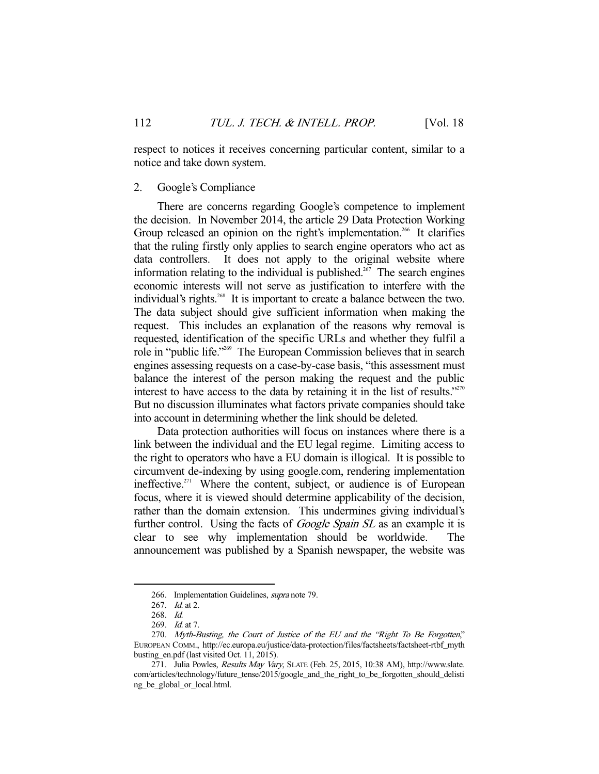respect to notices it receives concerning particular content, similar to a notice and take down system.

## 2. Google's Compliance

 There are concerns regarding Google's competence to implement the decision. In November 2014, the article 29 Data Protection Working Group released an opinion on the right's implementation.<sup>266</sup> It clarifies that the ruling firstly only applies to search engine operators who act as data controllers. It does not apply to the original website where information relating to the individual is published.<sup>267</sup> The search engines economic interests will not serve as justification to interfere with the individual's rights.<sup>268</sup> It is important to create a balance between the two. The data subject should give sufficient information when making the request. This includes an explanation of the reasons why removal is requested, identification of the specific URLs and whether they fulfil a role in "public life."269 The European Commission believes that in search engines assessing requests on a case-by-case basis, "this assessment must balance the interest of the person making the request and the public interest to have access to the data by retaining it in the list of results." $270$ But no discussion illuminates what factors private companies should take into account in determining whether the link should be deleted.

 Data protection authorities will focus on instances where there is a link between the individual and the EU legal regime. Limiting access to the right to operators who have a EU domain is illogical. It is possible to circumvent de-indexing by using google.com, rendering implementation ineffective.<sup>271</sup> Where the content, subject, or audience is of European focus, where it is viewed should determine applicability of the decision, rather than the domain extension. This undermines giving individual's further control. Using the facts of *Google Spain SL* as an example it is clear to see why implementation should be worldwide. The announcement was published by a Spanish newspaper, the website was

<sup>266.</sup> Implementation Guidelines, supra note 79.

 <sup>267.</sup> Id. at 2.

 <sup>268.</sup> Id.

 <sup>269.</sup> Id. at 7.

<sup>270.</sup> Myth-Busting, the Court of Justice of the EU and the "Right To Be Forgotten," EUROPEAN COMM., http://ec.europa.eu/justice/data-protection/files/factsheets/factsheet-rtbf\_myth busting\_en.pdf (last visited Oct. 11, 2015).

<sup>271.</sup> Julia Powles, Results May Vary, SLATE (Feb. 25, 2015, 10:38 AM), http://www.slate. com/articles/technology/future\_tense/2015/google\_and\_the\_right\_to\_be\_forgotten\_should\_delisti ng\_be\_global\_or\_local.html.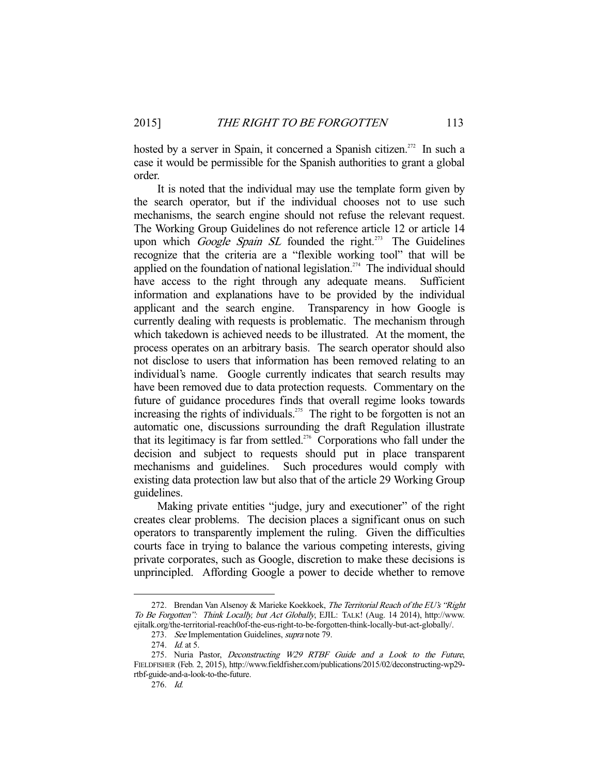hosted by a server in Spain, it concerned a Spanish citizen.<sup>272</sup> In such a case it would be permissible for the Spanish authorities to grant a global order.

 It is noted that the individual may use the template form given by the search operator, but if the individual chooses not to use such mechanisms, the search engine should not refuse the relevant request. The Working Group Guidelines do not reference article 12 or article 14 upon which *Google Spain SL* founded the right.<sup>273</sup> The Guidelines recognize that the criteria are a "flexible working tool" that will be applied on the foundation of national legislation.<sup>274</sup> The individual should have access to the right through any adequate means. Sufficient information and explanations have to be provided by the individual applicant and the search engine. Transparency in how Google is currently dealing with requests is problematic. The mechanism through which takedown is achieved needs to be illustrated. At the moment, the process operates on an arbitrary basis. The search operator should also not disclose to users that information has been removed relating to an individual's name. Google currently indicates that search results may have been removed due to data protection requests. Commentary on the future of guidance procedures finds that overall regime looks towards increasing the rights of individuals.<sup>275</sup> The right to be forgotten is not an automatic one, discussions surrounding the draft Regulation illustrate that its legitimacy is far from settled.<sup>276</sup> Corporations who fall under the decision and subject to requests should put in place transparent mechanisms and guidelines. Such procedures would comply with existing data protection law but also that of the article 29 Working Group guidelines.

 Making private entities "judge, jury and executioner" of the right creates clear problems. The decision places a significant onus on such operators to transparently implement the ruling. Given the difficulties courts face in trying to balance the various competing interests, giving private corporates, such as Google, discretion to make these decisions is unprincipled. Affording Google a power to decide whether to remove

<sup>272.</sup> Brendan Van Alsenoy & Marieke Koekkoek, The Territorial Reach of the EU's "Right" To Be Forgotten": Think Locally, but Act Globally, EJIL: TALK! (Aug. 14 2014), http://www. ejitalk.org/the-territorial-reach0of-the-eus-right-to-be-forgotten-think-locally-but-act-globally/.

<sup>273.</sup> See Implementation Guidelines, supra note 79.

<sup>274.</sup> *Id.* at 5.

<sup>275.</sup> Nuria Pastor, Deconstructing W29 RTBF Guide and a Look to the Future, FIELDFISHER (Feb. 2, 2015), http://www.fieldfisher.com/publications/2015/02/deconstructing-wp29 rtbf-guide-and-a-look-to-the-future.

 <sup>276.</sup> Id.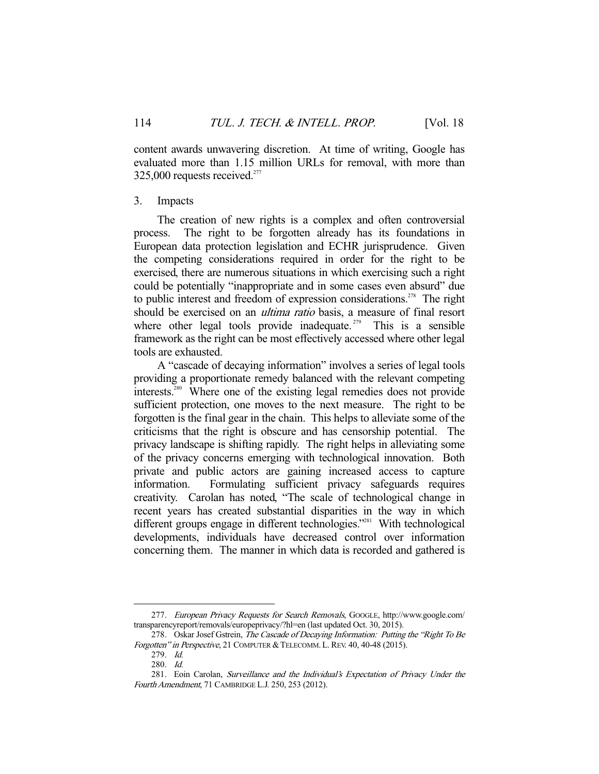content awards unwavering discretion. At time of writing, Google has evaluated more than 1.15 million URLs for removal, with more than  $325,000$  requests received.<sup>277</sup>

#### 3. Impacts

 The creation of new rights is a complex and often controversial process. The right to be forgotten already has its foundations in European data protection legislation and ECHR jurisprudence. Given the competing considerations required in order for the right to be exercised, there are numerous situations in which exercising such a right could be potentially "inappropriate and in some cases even absurd" due to public interest and freedom of expression considerations.<sup>278</sup> The right should be exercised on an *ultima ratio* basis, a measure of final resort where other legal tools provide inadequate.<sup> $279$ </sup> This is a sensible framework as the right can be most effectively accessed where other legal tools are exhausted.

 A "cascade of decaying information" involves a series of legal tools providing a proportionate remedy balanced with the relevant competing interests.280 Where one of the existing legal remedies does not provide sufficient protection, one moves to the next measure. The right to be forgotten is the final gear in the chain. This helps to alleviate some of the criticisms that the right is obscure and has censorship potential. The privacy landscape is shifting rapidly. The right helps in alleviating some of the privacy concerns emerging with technological innovation. Both private and public actors are gaining increased access to capture information. Formulating sufficient privacy safeguards requires creativity. Carolan has noted, "The scale of technological change in recent years has created substantial disparities in the way in which different groups engage in different technologies.<sup>"281</sup> With technological developments, individuals have decreased control over information concerning them. The manner in which data is recorded and gathered is

 <sup>277.</sup> European Privacy Requests for Search Removals, GOOGLE, http://www.google.com/ transparencyreport/removals/europeprivacy/?hl=en (last updated Oct. 30, 2015).

<sup>278.</sup> Oskar Josef Gstrein, The Cascade of Decaying Information: Putting the "Right To Be Forgotten" in Perspective, 21 COMPUTER & TELECOMM. L. REV. 40, 40-48 (2015).

 <sup>279.</sup> Id.

 <sup>280.</sup> Id.

 <sup>281.</sup> Eoin Carolan, Surveillance and the Individual's Expectation of Privacy Under the Fourth Amendment, 71 CAMBRIDGE L.J. 250, 253 (2012).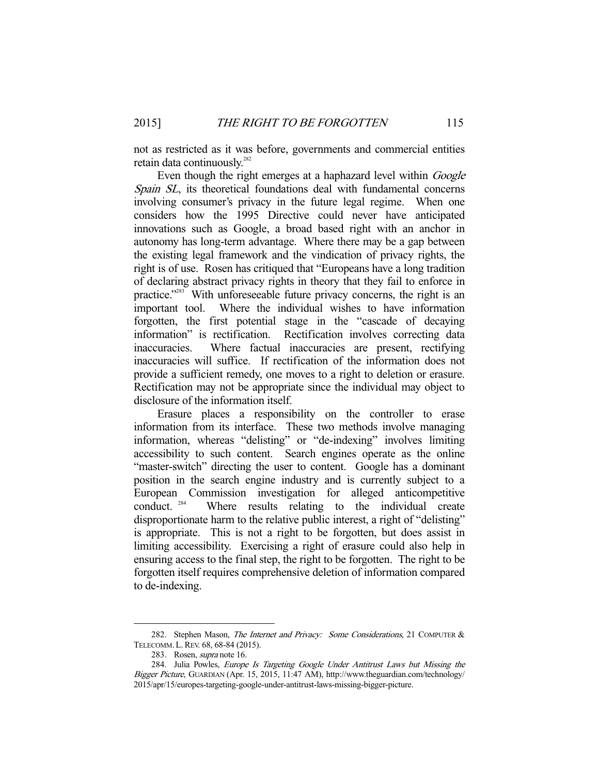not as restricted as it was before, governments and commercial entities retain data continuously.<sup>282</sup>

Even though the right emerges at a haphazard level within *Google* Spain SL, its theoretical foundations deal with fundamental concerns involving consumer's privacy in the future legal regime. When one considers how the 1995 Directive could never have anticipated innovations such as Google, a broad based right with an anchor in autonomy has long-term advantage. Where there may be a gap between the existing legal framework and the vindication of privacy rights, the right is of use. Rosen has critiqued that "Europeans have a long tradition of declaring abstract privacy rights in theory that they fail to enforce in practice."<sup>283</sup> With unforeseeable future privacy concerns, the right is an important tool. Where the individual wishes to have information forgotten, the first potential stage in the "cascade of decaying information" is rectification. Rectification involves correcting data inaccuracies. Where factual inaccuracies are present, rectifying inaccuracies will suffice. If rectification of the information does not provide a sufficient remedy, one moves to a right to deletion or erasure. Rectification may not be appropriate since the individual may object to disclosure of the information itself.

 Erasure places a responsibility on the controller to erase information from its interface. These two methods involve managing information, whereas "delisting" or "de-indexing" involves limiting accessibility to such content. Search engines operate as the online "master-switch" directing the user to content. Google has a dominant position in the search engine industry and is currently subject to a European Commission investigation for alleged anticompetitive conduct. <sup>284</sup> Where results relating to the individual create Where results relating to the individual create disproportionate harm to the relative public interest, a right of "delisting" is appropriate. This is not a right to be forgotten, but does assist in limiting accessibility. Exercising a right of erasure could also help in ensuring access to the final step, the right to be forgotten. The right to be forgotten itself requires comprehensive deletion of information compared to de-indexing.

<sup>282.</sup> Stephen Mason, The Internet and Privacy: Some Considerations, 21 COMPUTER & TELECOMM. L.REV. 68, 68-84 (2015).

<sup>283.</sup> Rosen, *supra* note 16.

<sup>284.</sup> Julia Powles, Europe Is Targeting Google Under Antitrust Laws but Missing the Bigger Picture, GUARDIAN (Apr. 15, 2015, 11:47 AM), http://www.theguardian.com/technology/ 2015/apr/15/europes-targeting-google-under-antitrust-laws-missing-bigger-picture.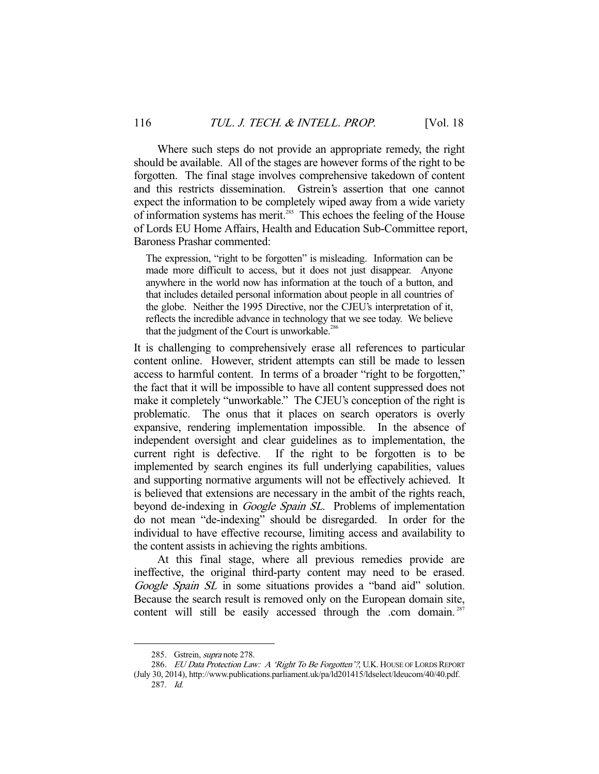Where such steps do not provide an appropriate remedy, the right should be available. All of the stages are however forms of the right to be forgotten. The final stage involves comprehensive takedown of content and this restricts dissemination. Gstrein's assertion that one cannot expect the information to be completely wiped away from a wide variety of information systems has merit.<sup>285</sup> This echoes the feeling of the House of Lords EU Home Affairs, Health and Education Sub-Committee report, Baroness Prashar commented:

The expression, "right to be forgotten" is misleading. Information can be made more difficult to access, but it does not just disappear. Anyone anywhere in the world now has information at the touch of a button, and that includes detailed personal information about people in all countries of the globe. Neither the 1995 Directive, nor the CJEU's interpretation of it, reflects the incredible advance in technology that we see today. We believe that the judgment of the Court is unworkable.<sup>286</sup>

It is challenging to comprehensively erase all references to particular content online. However, strident attempts can still be made to lessen access to harmful content. In terms of a broader "right to be forgotten," the fact that it will be impossible to have all content suppressed does not make it completely "unworkable." The CJEU's conception of the right is problematic. The onus that it places on search operators is overly expansive, rendering implementation impossible. In the absence of independent oversight and clear guidelines as to implementation, the current right is defective. If the right to be forgotten is to be implemented by search engines its full underlying capabilities, values and supporting normative arguments will not be effectively achieved. It is believed that extensions are necessary in the ambit of the rights reach, beyond de-indexing in Google Spain SL. Problems of implementation do not mean "de-indexing" should be disregarded. In order for the individual to have effective recourse, limiting access and availability to the content assists in achieving the rights ambitions.

 At this final stage, where all previous remedies provide are ineffective, the original third-party content may need to be erased. Google Spain SL in some situations provides a "band aid" solution. Because the search result is removed only on the European domain site, content will still be easily accessed through the .com domain.  $287$ 

<sup>285.</sup> Gstrein, *supra* note 278.

<sup>286.</sup> EU Data Protection Law: A 'Right To Be Forgotten'?, U.K. HOUSE OF LORDS REPORT (July 30, 2014), http://www.publications.parliament.uk/pa/ld201415/ldselect/ldeucom/40/40.pdf. 287. Id.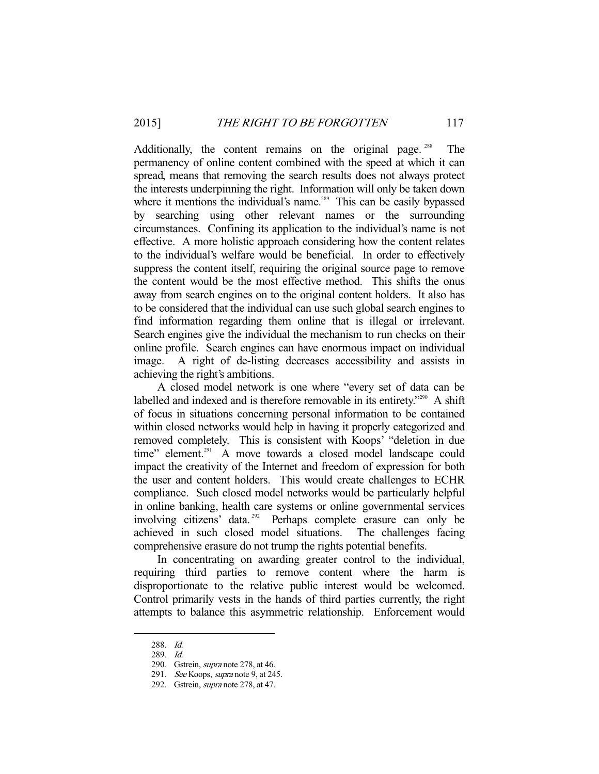Additionally, the content remains on the original page.<sup>288</sup> The permanency of online content combined with the speed at which it can spread, means that removing the search results does not always protect the interests underpinning the right. Information will only be taken down where it mentions the individual's name.<sup>289</sup> This can be easily bypassed by searching using other relevant names or the surrounding circumstances. Confining its application to the individual's name is not effective. A more holistic approach considering how the content relates to the individual's welfare would be beneficial. In order to effectively suppress the content itself, requiring the original source page to remove the content would be the most effective method. This shifts the onus away from search engines on to the original content holders. It also has to be considered that the individual can use such global search engines to find information regarding them online that is illegal or irrelevant. Search engines give the individual the mechanism to run checks on their online profile. Search engines can have enormous impact on individual image. A right of de-listing decreases accessibility and assists in achieving the right's ambitions.

 A closed model network is one where "every set of data can be labelled and indexed and is therefore removable in its entirety."<sup>290</sup> A shift of focus in situations concerning personal information to be contained within closed networks would help in having it properly categorized and removed completely. This is consistent with Koops' "deletion in due time" element.<sup>291</sup> A move towards a closed model landscape could impact the creativity of the Internet and freedom of expression for both the user and content holders. This would create challenges to ECHR compliance. Such closed model networks would be particularly helpful in online banking, health care systems or online governmental services involving citizens' data.<sup>292</sup> Perhaps complete erasure can only be achieved in such closed model situations. The challenges facing comprehensive erasure do not trump the rights potential benefits.

 In concentrating on awarding greater control to the individual, requiring third parties to remove content where the harm is disproportionate to the relative public interest would be welcomed. Control primarily vests in the hands of third parties currently, the right attempts to balance this asymmetric relationship. Enforcement would

 <sup>288.</sup> Id.

 <sup>289.</sup> Id.

<sup>290.</sup> Gstrein, *supra* note 278, at 46.

<sup>291.</sup> See Koops, supra note 9, at 245.

 <sup>292.</sup> Gstrein, supra note 278, at 47.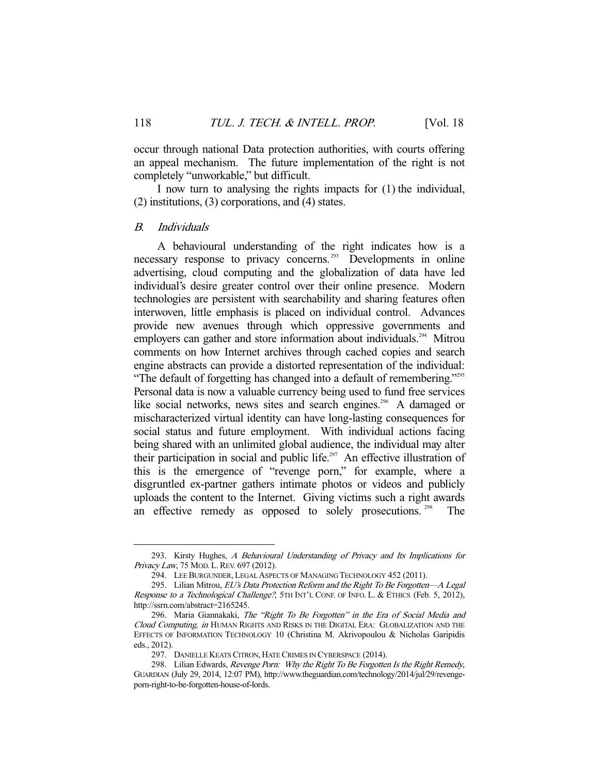occur through national Data protection authorities, with courts offering an appeal mechanism. The future implementation of the right is not completely "unworkable," but difficult.

 I now turn to analysing the rights impacts for (1) the individual, (2) institutions, (3) corporations, and (4) states.

#### B. Individuals

 A behavioural understanding of the right indicates how is a necessary response to privacy concerns.<sup>293</sup> Developments in online advertising, cloud computing and the globalization of data have led individual's desire greater control over their online presence. Modern technologies are persistent with searchability and sharing features often interwoven, little emphasis is placed on individual control. Advances provide new avenues through which oppressive governments and employers can gather and store information about individuals.<sup>294</sup> Mitrou comments on how Internet archives through cached copies and search engine abstracts can provide a distorted representation of the individual: "The default of forgetting has changed into a default of remembering."<sup>295</sup> Personal data is now a valuable currency being used to fund free services like social networks, news sites and search engines.<sup>296</sup> A damaged or mischaracterized virtual identity can have long-lasting consequences for social status and future employment. With individual actions facing being shared with an unlimited global audience, the individual may alter their participation in social and public life.<sup>297</sup> An effective illustration of this is the emergence of "revenge porn," for example, where a disgruntled ex-partner gathers intimate photos or videos and publicly uploads the content to the Internet. Giving victims such a right awards an effective remedy as opposed to solely prosecutions.<sup>298</sup> The

 <sup>293.</sup> Kirsty Hughes, A Behavioural Understanding of Privacy and Its Implications for Privacy Law, 75 Mod. L. REV. 697 (2012).

 <sup>294.</sup> LEE BURGUNDER, LEGAL ASPECTS OF MANAGING TECHNOLOGY 452 (2011).

<sup>295.</sup> Lilian Mitrou, EU's Data Protection Reform and the Right To Be Forgotten—A Legal Response to a Technological Challenge?, 5TH INT'L CONF. OF INFO. L. & ETHICS (Feb. 5, 2012), http://ssrn.com/abstract=2165245.

<sup>296.</sup> Maria Giannakaki, The "Right To Be Forgotten" in the Era of Social Media and Cloud Computing, in HUMAN RIGHTS AND RISKS IN THE DIGITAL ERA: GLOBALIZATION AND THE EFFECTS OF INFORMATION TECHNOLOGY 10 (Christina M. Akrivopoulou & Nicholas Garipidis eds., 2012).

 <sup>297.</sup> DANIELLE KEATS CITRON, HATE CRIMES IN CYBERSPACE (2014).

<sup>298.</sup> Lilian Edwards, Revenge Porn: Why the Right To Be Forgotten Is the Right Remedy, GUARDIAN (July 29, 2014, 12:07 PM), http://www.theguardian.com/technology/2014/jul/29/revengeporn-right-to-be-forgotten-house-of-lords.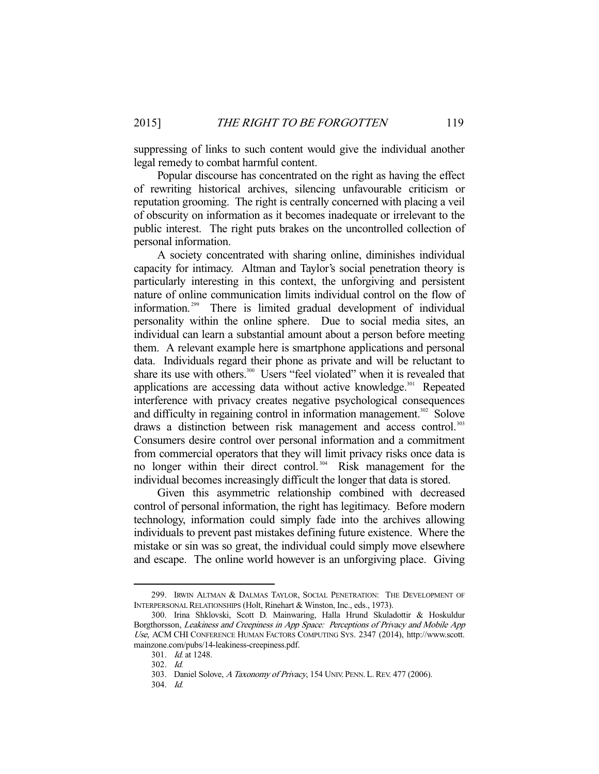suppressing of links to such content would give the individual another legal remedy to combat harmful content.

 Popular discourse has concentrated on the right as having the effect of rewriting historical archives, silencing unfavourable criticism or reputation grooming. The right is centrally concerned with placing a veil of obscurity on information as it becomes inadequate or irrelevant to the public interest. The right puts brakes on the uncontrolled collection of personal information.

 A society concentrated with sharing online, diminishes individual capacity for intimacy. Altman and Taylor's social penetration theory is particularly interesting in this context, the unforgiving and persistent nature of online communication limits individual control on the flow of information. 299 There is limited gradual development of individual personality within the online sphere. Due to social media sites, an individual can learn a substantial amount about a person before meeting them. A relevant example here is smartphone applications and personal data. Individuals regard their phone as private and will be reluctant to share its use with others.<sup>300</sup> Users "feel violated" when it is revealed that applications are accessing data without active knowledge.<sup>301</sup> Repeated interference with privacy creates negative psychological consequences and difficulty in regaining control in information management.<sup>302</sup> Solove draws a distinction between risk management and access control.<sup>303</sup> Consumers desire control over personal information and a commitment from commercial operators that they will limit privacy risks once data is no longer within their direct control.<sup>304</sup> Risk management for the individual becomes increasingly difficult the longer that data is stored.

 Given this asymmetric relationship combined with decreased control of personal information, the right has legitimacy. Before modern technology, information could simply fade into the archives allowing individuals to prevent past mistakes defining future existence. Where the mistake or sin was so great, the individual could simply move elsewhere and escape. The online world however is an unforgiving place. Giving

 <sup>299.</sup> IRWIN ALTMAN & DALMAS TAYLOR, SOCIAL PENETRATION: THE DEVELOPMENT OF INTERPERSONAL RELATIONSHIPS (Holt, Rinehart & Winston, Inc., eds., 1973).

 <sup>300.</sup> Irina Shklovski, Scott D. Mainwaring, Halla Hrund Skuladottir & Hoskuldur Borgthorsson, Leakiness and Creepiness in App Space: Perceptions of Privacy and Mobile App Use, ACM CHI CONFERENCE HUMAN FACTORS COMPUTING SYS. 2347 (2014), http://www.scott. mainzone.com/pubs/14-leakiness-creepiness.pdf.

 <sup>301.</sup> Id. at 1248.

 <sup>302.</sup> Id.

 <sup>303.</sup> Daniel Solove, A Taxonomy of Privacy, 154 UNIV. PENN. L.REV. 477 (2006).

 <sup>304.</sup> Id.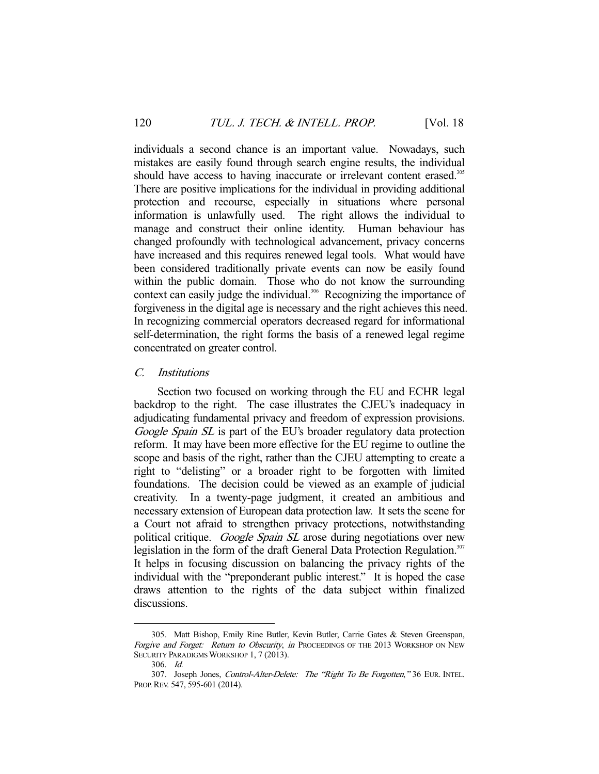individuals a second chance is an important value. Nowadays, such mistakes are easily found through search engine results, the individual should have access to having inaccurate or irrelevant content erased.<sup>305</sup> There are positive implications for the individual in providing additional protection and recourse, especially in situations where personal information is unlawfully used. The right allows the individual to manage and construct their online identity. Human behaviour has changed profoundly with technological advancement, privacy concerns have increased and this requires renewed legal tools. What would have been considered traditionally private events can now be easily found within the public domain. Those who do not know the surrounding context can easily judge the individual.<sup>306</sup> Recognizing the importance of forgiveness in the digital age is necessary and the right achieves this need. In recognizing commercial operators decreased regard for informational self-determination, the right forms the basis of a renewed legal regime concentrated on greater control.

## C. Institutions

 Section two focused on working through the EU and ECHR legal backdrop to the right. The case illustrates the CJEU's inadequacy in adjudicating fundamental privacy and freedom of expression provisions. Google Spain SL is part of the EU's broader regulatory data protection reform. It may have been more effective for the EU regime to outline the scope and basis of the right, rather than the CJEU attempting to create a right to "delisting" or a broader right to be forgotten with limited foundations. The decision could be viewed as an example of judicial creativity. In a twenty-page judgment, it created an ambitious and necessary extension of European data protection law. It sets the scene for a Court not afraid to strengthen privacy protections, notwithstanding political critique. Google Spain SL arose during negotiations over new legislation in the form of the draft General Data Protection Regulation.<sup>307</sup> It helps in focusing discussion on balancing the privacy rights of the individual with the "preponderant public interest." It is hoped the case draws attention to the rights of the data subject within finalized discussions.

 <sup>305.</sup> Matt Bishop, Emily Rine Butler, Kevin Butler, Carrie Gates & Steven Greenspan, Forgive and Forget: Return to Obscurity, in PROCEEDINGS OF THE 2013 WORKSHOP ON NEW SECURITY PARADIGMS WORKSHOP 1, 7 (2013).

 <sup>306.</sup> Id.

<sup>307.</sup> Joseph Jones, Control-Alter-Delete: The "Right To Be Forgotten," 36 EUR. INTEL. PROP.REV. 547, 595-601 (2014).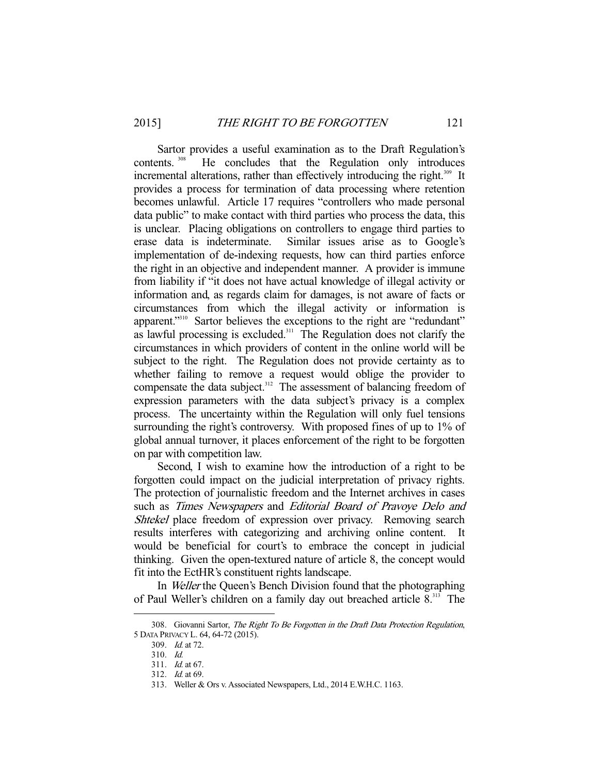Sartor provides a useful examination as to the Draft Regulation's contents. 308 He concludes that the Regulation only introduces incremental alterations, rather than effectively introducing the right.<sup>309</sup> It provides a process for termination of data processing where retention becomes unlawful. Article 17 requires "controllers who made personal data public" to make contact with third parties who process the data, this is unclear. Placing obligations on controllers to engage third parties to erase data is indeterminate. Similar issues arise as to Google's implementation of de-indexing requests, how can third parties enforce the right in an objective and independent manner. A provider is immune from liability if "it does not have actual knowledge of illegal activity or information and, as regards claim for damages, is not aware of facts or circumstances from which the illegal activity or information is apparent."<sup>310</sup> Sartor believes the exceptions to the right are "redundant" as lawful processing is excluded.<sup>311</sup> The Regulation does not clarify the circumstances in which providers of content in the online world will be subject to the right. The Regulation does not provide certainty as to whether failing to remove a request would oblige the provider to compensate the data subject.<sup>312</sup> The assessment of balancing freedom of expression parameters with the data subject's privacy is a complex process. The uncertainty within the Regulation will only fuel tensions surrounding the right's controversy. With proposed fines of up to 1% of global annual turnover, it places enforcement of the right to be forgotten on par with competition law.

 Second, I wish to examine how the introduction of a right to be forgotten could impact on the judicial interpretation of privacy rights. The protection of journalistic freedom and the Internet archives in cases such as Times Newspapers and Editorial Board of Pravoye Delo and Shtekel place freedom of expression over privacy. Removing search results interferes with categorizing and archiving online content. It would be beneficial for court's to embrace the concept in judicial thinking. Given the open-textured nature of article 8, the concept would fit into the EctHR's constituent rights landscape.

 In Weller the Queen's Bench Division found that the photographing of Paul Weller's children on a family day out breached article 8.313 The

<sup>308.</sup> Giovanni Sartor, The Right To Be Forgotten in the Draft Data Protection Regulation, 5 DATA PRIVACY L. 64, 64-72 (2015).

<sup>309.</sup> *Id.* at 72.

 <sup>310.</sup> Id.

 <sup>311.</sup> Id. at 67.

 <sup>312.</sup> Id. at 69.

 <sup>313.</sup> Weller & Ors v. Associated Newspapers, Ltd., 2014 E.W.H.C. 1163.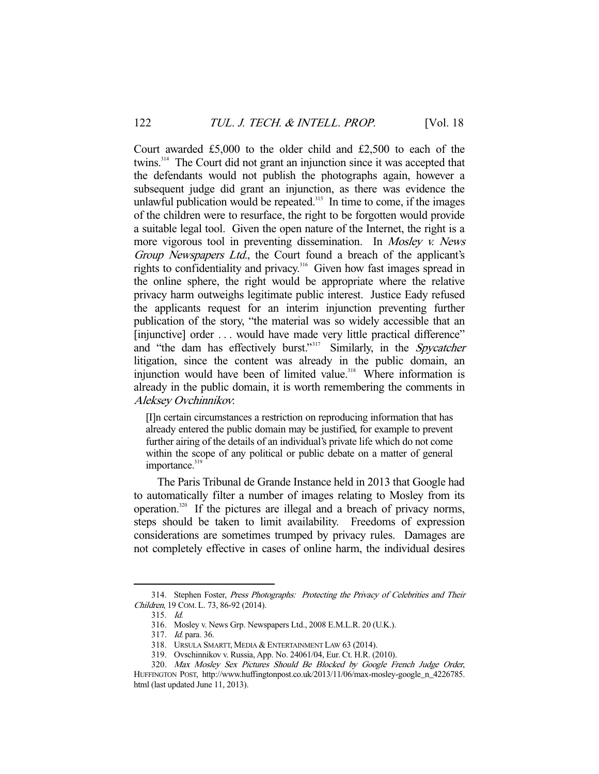Court awarded £5,000 to the older child and £2,500 to each of the twins.314 The Court did not grant an injunction since it was accepted that the defendants would not publish the photographs again, however a subsequent judge did grant an injunction, as there was evidence the unlawful publication would be repeated.<sup>315</sup> In time to come, if the images of the children were to resurface, the right to be forgotten would provide a suitable legal tool. Given the open nature of the Internet, the right is a more vigorous tool in preventing dissemination. In Mosley v. News Group Newspapers Ltd., the Court found a breach of the applicant's rights to confidentiality and privacy.316 Given how fast images spread in the online sphere, the right would be appropriate where the relative privacy harm outweighs legitimate public interest. Justice Eady refused the applicants request for an interim injunction preventing further publication of the story, "the material was so widely accessible that an [injunctive] order . . . would have made very little practical difference" and "the dam has effectively burst."<sup>317</sup> Similarly, in the *Spycatcher* litigation, since the content was already in the public domain, an injunction would have been of limited value.<sup>318</sup> Where information is already in the public domain, it is worth remembering the comments in Aleksey Ovchinnikov:

[I]n certain circumstances a restriction on reproducing information that has already entered the public domain may be justified, for example to prevent further airing of the details of an individual's private life which do not come within the scope of any political or public debate on a matter of general importance. $319$ 

 The Paris Tribunal de Grande Instance held in 2013 that Google had to automatically filter a number of images relating to Mosley from its operation.320 If the pictures are illegal and a breach of privacy norms, steps should be taken to limit availability. Freedoms of expression considerations are sometimes trumped by privacy rules. Damages are not completely effective in cases of online harm, the individual desires

<sup>314.</sup> Stephen Foster, Press Photographs: Protecting the Privacy of Celebrities and Their Children, 19 COM. L. 73, 86-92 (2014).

 <sup>315.</sup> Id.

 <sup>316.</sup> Mosley v. News Grp. Newspapers Ltd., 2008 E.M.L.R. 20 (U.K.).

 <sup>317.</sup> Id. para. 36.

 <sup>318.</sup> URSULA SMARTT, MEDIA & ENTERTAINMENT LAW 63 (2014).

 <sup>319.</sup> Ovschinnikov v. Russia, App. No. 24061/04, Eur. Ct. H.R. (2010).

 <sup>320.</sup> Max Mosley Sex Pictures Should Be Blocked by Google French Judge Order, HUFFINGTON POST, http://www.huffingtonpost.co.uk/2013/11/06/max-mosley-google\_n\_4226785. html (last updated June 11, 2013).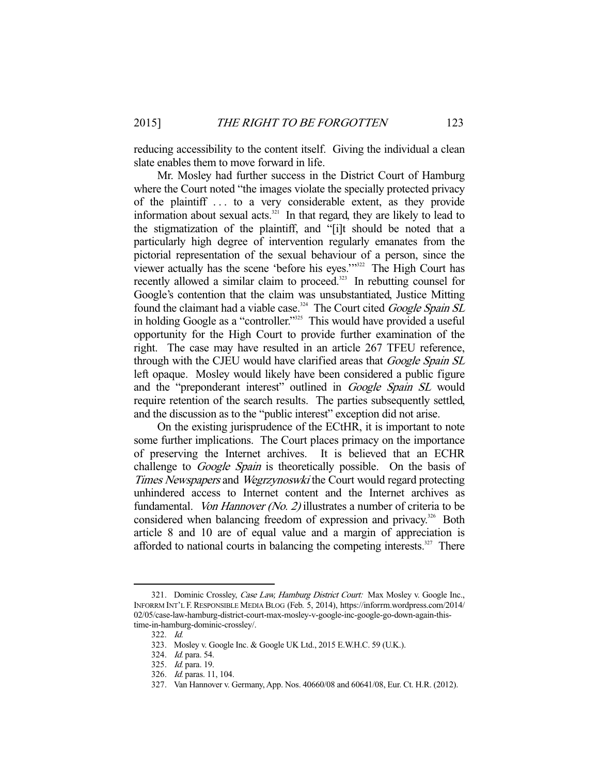reducing accessibility to the content itself. Giving the individual a clean slate enables them to move forward in life.

 Mr. Mosley had further success in the District Court of Hamburg where the Court noted "the images violate the specially protected privacy of the plaintiff . . . to a very considerable extent, as they provide information about sexual acts. $321$  In that regard, they are likely to lead to the stigmatization of the plaintiff, and "[i]t should be noted that a particularly high degree of intervention regularly emanates from the pictorial representation of the sexual behaviour of a person, since the viewer actually has the scene 'before his eyes.'"322 The High Court has recently allowed a similar claim to proceed.<sup>323</sup> In rebutting counsel for Google's contention that the claim was unsubstantiated, Justice Mitting found the claimant had a viable case.<sup>324</sup> The Court cited *Google Spain SL* in holding Google as a "controller."<sup>325</sup> This would have provided a useful opportunity for the High Court to provide further examination of the right. The case may have resulted in an article 267 TFEU reference, through with the CJEU would have clarified areas that *Google Spain SL* left opaque. Mosley would likely have been considered a public figure and the "preponderant interest" outlined in *Google Spain SL* would require retention of the search results. The parties subsequently settled, and the discussion as to the "public interest" exception did not arise.

 On the existing jurisprudence of the ECtHR, it is important to note some further implications. The Court places primacy on the importance of preserving the Internet archives. It is believed that an ECHR challenge to *Google Spain* is theoretically possible. On the basis of Times Newspapers and Wegrzynoswki the Court would regard protecting unhindered access to Internet content and the Internet archives as fundamental. Von Hannover (No. 2) illustrates a number of criteria to be considered when balancing freedom of expression and privacy.<sup>326</sup> Both article 8 and 10 are of equal value and a margin of appreciation is afforded to national courts in balancing the competing interests.<sup>327</sup> There

<sup>321.</sup> Dominic Crossley, Case Law, Hamburg District Court: Max Mosley v. Google Inc., INFORRM INT'L F. RESPONSIBLE MEDIA BLOG (Feb. 5, 2014), https://inforrm.wordpress.com/2014/ 02/05/case-law-hamburg-district-court-max-mosley-v-google-inc-google-go-down-again-thistime-in-hamburg-dominic-crossley/.

 <sup>322.</sup> Id.

 <sup>323.</sup> Mosley v. Google Inc. & Google UK Ltd., 2015 E.W.H.C. 59 (U.K.).

 <sup>324.</sup> Id. para. 54.

 <sup>325.</sup> Id. para. 19.

 <sup>326.</sup> Id. paras. 11, 104.

 <sup>327.</sup> Van Hannover v. Germany, App. Nos. 40660/08 and 60641/08, Eur. Ct. H.R. (2012).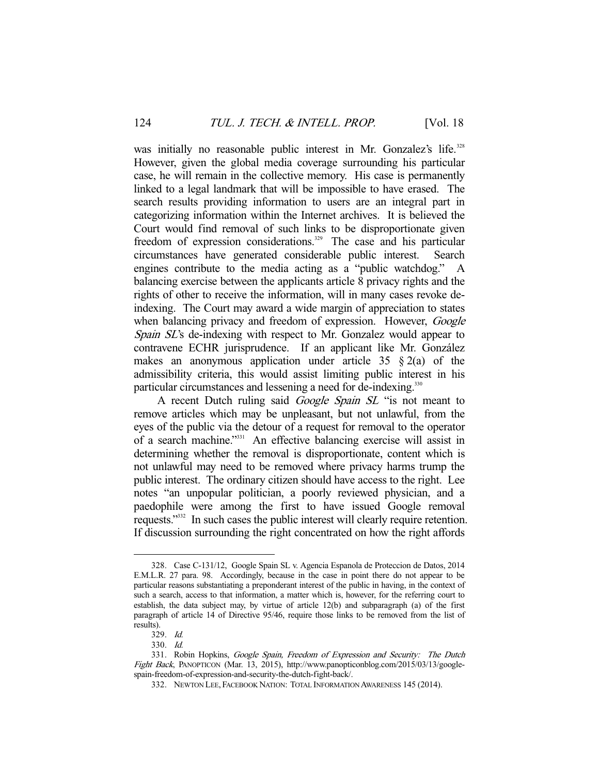was initially no reasonable public interest in Mr. Gonzalez's life.<sup>328</sup> However, given the global media coverage surrounding his particular case, he will remain in the collective memory. His case is permanently linked to a legal landmark that will be impossible to have erased. The search results providing information to users are an integral part in categorizing information within the Internet archives. It is believed the Court would find removal of such links to be disproportionate given freedom of expression considerations.<sup>329</sup> The case and his particular circumstances have generated considerable public interest. Search engines contribute to the media acting as a "public watchdog." A balancing exercise between the applicants article 8 privacy rights and the rights of other to receive the information, will in many cases revoke deindexing. The Court may award a wide margin of appreciation to states when balancing privacy and freedom of expression. However, *Google* Spain SL's de-indexing with respect to Mr. Gonzalez would appear to contravene ECHR jurisprudence. If an applicant like Mr. González makes an anonymous application under article 35  $\S$  2(a) of the admissibility criteria, this would assist limiting public interest in his particular circumstances and lessening a need for de-indexing.<sup>330</sup>

A recent Dutch ruling said *Google Spain SL* "is not meant to remove articles which may be unpleasant, but not unlawful, from the eyes of the public via the detour of a request for removal to the operator of a search machine."<sup>331</sup> An effective balancing exercise will assist in determining whether the removal is disproportionate, content which is not unlawful may need to be removed where privacy harms trump the public interest. The ordinary citizen should have access to the right. Lee notes "an unpopular politician, a poorly reviewed physician, and a paedophile were among the first to have issued Google removal requests."332 In such cases the public interest will clearly require retention. If discussion surrounding the right concentrated on how the right affords

 <sup>328.</sup> Case C-131/12, Google Spain SL v. Agencia Espanola de Proteccion de Datos, 2014 E.M.L.R. 27 para. 98. Accordingly, because in the case in point there do not appear to be particular reasons substantiating a preponderant interest of the public in having, in the context of such a search, access to that information, a matter which is, however, for the referring court to establish, the data subject may, by virtue of article 12(b) and subparagraph (a) of the first paragraph of article 14 of Directive 95/46, require those links to be removed from the list of results).

 <sup>329.</sup> Id.

 <sup>330.</sup> Id.

<sup>331.</sup> Robin Hopkins, Google Spain, Freedom of Expression and Security: The Dutch Fight Back, PANOPTICON (Mar. 13, 2015), http://www.panopticonblog.com/2015/03/13/googlespain-freedom-of-expression-and-security-the-dutch-fight-back/.

 <sup>332.</sup> NEWTON LEE, FACEBOOK NATION: TOTAL INFORMATION AWARENESS 145 (2014).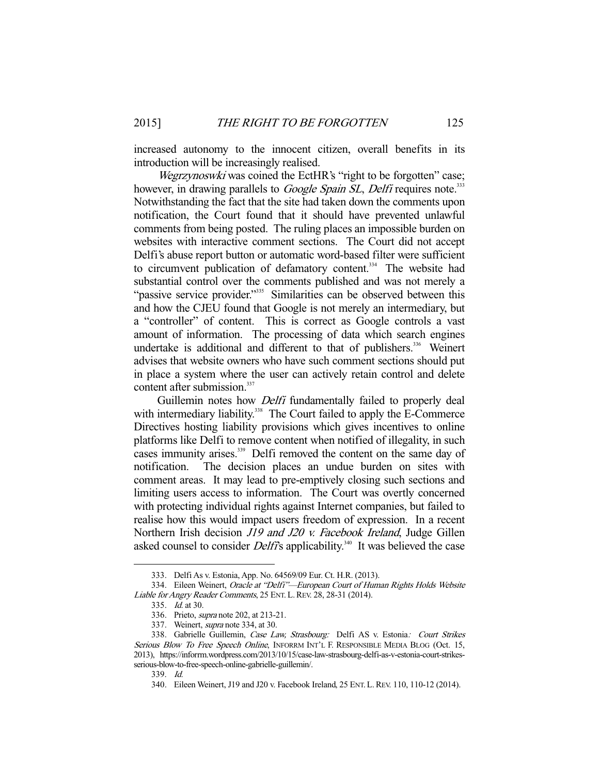increased autonomy to the innocent citizen, overall benefits in its introduction will be increasingly realised.

Wegrzynoswki was coined the EctHR's "right to be forgotten" case; however, in drawing parallels to *Google Spain SL*, *Delfi* requires note.<sup>333</sup> Notwithstanding the fact that the site had taken down the comments upon notification, the Court found that it should have prevented unlawful comments from being posted. The ruling places an impossible burden on websites with interactive comment sections. The Court did not accept Delfi's abuse report button or automatic word-based filter were sufficient to circumvent publication of defamatory content.<sup>334</sup> The website had substantial control over the comments published and was not merely a "passive service provider."<sup>335</sup> Similarities can be observed between this and how the CJEU found that Google is not merely an intermediary, but a "controller" of content. This is correct as Google controls a vast amount of information. The processing of data which search engines undertake is additional and different to that of publishers.<sup>336</sup> Weinert advises that website owners who have such comment sections should put in place a system where the user can actively retain control and delete content after submission.<sup>337</sup>

Guillemin notes how *Delfi* fundamentally failed to properly deal with intermediary liability.<sup>338</sup> The Court failed to apply the E-Commerce Directives hosting liability provisions which gives incentives to online platforms like Delfi to remove content when notified of illegality, in such cases immunity arises.<sup>339</sup> Delfi removed the content on the same day of notification. The decision places an undue burden on sites with comment areas. It may lead to pre-emptively closing such sections and limiting users access to information. The Court was overtly concerned with protecting individual rights against Internet companies, but failed to realise how this would impact users freedom of expression. In a recent Northern Irish decision *J19 and J20 v. Facebook Ireland*, Judge Gillen asked counsel to consider *Delfi's* applicability.<sup>340</sup> It was believed the case

 <sup>333.</sup> Delfi As v. Estonia, App. No. 64569/09 Eur. Ct. H.R. (2013).

<sup>334.</sup> Eileen Weinert, Oracle at "Delfi"-European Court of Human Rights Holds Website Liable for Angry Reader Comments, 25 ENT. L.REV. 28, 28-31 (2014).

 <sup>335.</sup> Id. at 30.

 <sup>336.</sup> Prieto, supra note 202, at 213-21.

 <sup>337.</sup> Weinert, supra note 334, at 30.

 <sup>338.</sup> Gabrielle Guillemin, Case Law, Strasbourg: Delfi AS v. Estonia: Court Strikes Serious Blow To Free Speech Online, INFORRM INT'L F. RESPONSIBLE MEDIA BLOG (Oct. 15, 2013), https://inforrm.wordpress.com/2013/10/15/case-law-strasbourg-delfi-as-v-estonia-court-strikesserious-blow-to-free-speech-online-gabrielle-guillemin/.

 <sup>339.</sup> Id.

 <sup>340.</sup> Eileen Weinert, J19 and J20 v. Facebook Ireland, 25 ENT. L.REV. 110, 110-12 (2014).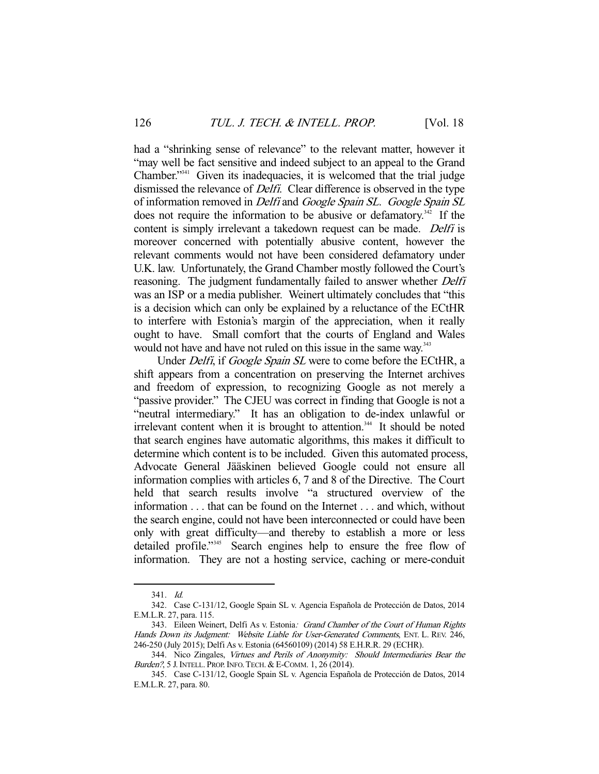had a "shrinking sense of relevance" to the relevant matter, however it "may well be fact sensitive and indeed subject to an appeal to the Grand Chamber."<sup>341</sup> Given its inadequacies, it is welcomed that the trial judge dismissed the relevance of *Delfi*. Clear difference is observed in the type of information removed in *Delfi* and *Google Spain SL*. *Google Spain SL* does not require the information to be abusive or defamatory.<sup>342</sup> If the content is simply irrelevant a takedown request can be made. *Delfi* is moreover concerned with potentially abusive content, however the relevant comments would not have been considered defamatory under U.K. law. Unfortunately, the Grand Chamber mostly followed the Court's reasoning. The judgment fundamentally failed to answer whether *Delfi* was an ISP or a media publisher. Weinert ultimately concludes that "this is a decision which can only be explained by a reluctance of the ECtHR to interfere with Estonia's margin of the appreciation, when it really ought to have. Small comfort that the courts of England and Wales would not have and have not ruled on this issue in the same way.<sup>343</sup>

Under *Delfi*, if *Google Spain SL* were to come before the ECtHR, a shift appears from a concentration on preserving the Internet archives and freedom of expression, to recognizing Google as not merely a "passive provider." The CJEU was correct in finding that Google is not a "neutral intermediary." It has an obligation to de-index unlawful or irrelevant content when it is brought to attention.344 It should be noted that search engines have automatic algorithms, this makes it difficult to determine which content is to be included. Given this automated process, Advocate General Jääskinen believed Google could not ensure all information complies with articles 6, 7 and 8 of the Directive. The Court held that search results involve "a structured overview of the information . . . that can be found on the Internet . . . and which, without the search engine, could not have been interconnected or could have been only with great difficulty—and thereby to establish a more or less detailed profile."345 Search engines help to ensure the free flow of information. They are not a hosting service, caching or mere-conduit

 <sup>341.</sup> Id.

 <sup>342.</sup> Case C-131/12, Google Spain SL v. Agencia Española de Protección de Datos, 2014 E.M.L.R. 27, para. 115.

<sup>343.</sup> Eileen Weinert, Delfi As v. Estonia: Grand Chamber of the Court of Human Rights Hands Down its Judgment: Website Liable for User-Generated Comments, ENT. L. REV. 246, 246-250 (July 2015); Delfi As v. Estonia (64560109) (2014) 58 E.H.R.R. 29 (ECHR).

<sup>344.</sup> Nico Zingales, Virtues and Perils of Anonymity: Should Intermediaries Bear the Burden?, 5 J. INTELL. PROP. INFO. TECH. & E-COMM. 1, 26 (2014).

 <sup>345.</sup> Case C-131/12, Google Spain SL v. Agencia Española de Protección de Datos, 2014 E.M.L.R. 27, para. 80.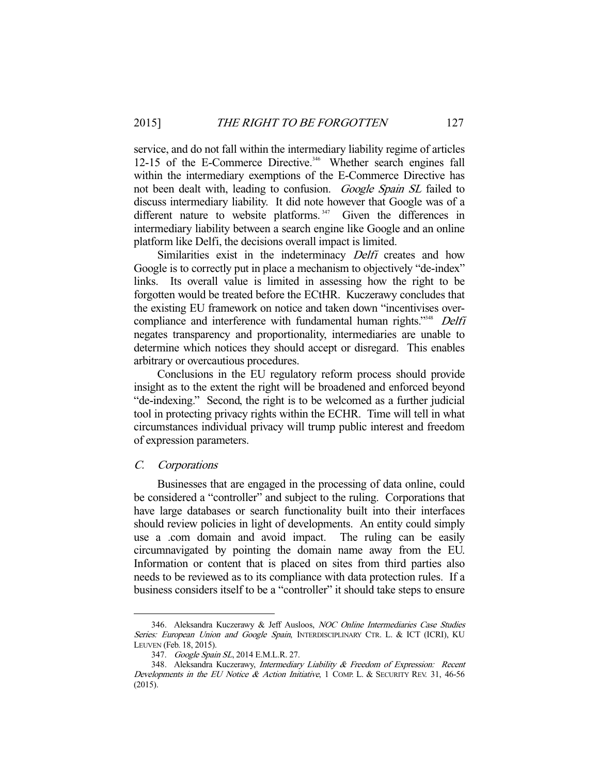service, and do not fall within the intermediary liability regime of articles 12-15 of the E-Commerce Directive.<sup>346</sup> Whether search engines fall within the intermediary exemptions of the E-Commerce Directive has not been dealt with, leading to confusion. Google Spain SL failed to discuss intermediary liability. It did note however that Google was of a different nature to website platforms.<sup>347</sup> Given the differences in intermediary liability between a search engine like Google and an online platform like Delfi, the decisions overall impact is limited.

Similarities exist in the indeterminacy *Delfi* creates and how Google is to correctly put in place a mechanism to objectively "de-index" links. Its overall value is limited in assessing how the right to be forgotten would be treated before the ECtHR. Kuczerawy concludes that the existing EU framework on notice and taken down "incentivises overcompliance and interference with fundamental human rights."<sup>348</sup> Delfi negates transparency and proportionality, intermediaries are unable to determine which notices they should accept or disregard. This enables arbitrary or overcautious procedures.

 Conclusions in the EU regulatory reform process should provide insight as to the extent the right will be broadened and enforced beyond "de-indexing." Second, the right is to be welcomed as a further judicial tool in protecting privacy rights within the ECHR. Time will tell in what circumstances individual privacy will trump public interest and freedom of expression parameters.

## C. Corporations

-

 Businesses that are engaged in the processing of data online, could be considered a "controller" and subject to the ruling. Corporations that have large databases or search functionality built into their interfaces should review policies in light of developments. An entity could simply use a .com domain and avoid impact. The ruling can be easily circumnavigated by pointing the domain name away from the EU. Information or content that is placed on sites from third parties also needs to be reviewed as to its compliance with data protection rules. If a business considers itself to be a "controller" it should take steps to ensure

<sup>346.</sup> Aleksandra Kuczerawy & Jeff Ausloos, NOC Online Intermediaries Case Studies Series: European Union and Google Spain, INTERDISCIPLINARY CTR. L. & ICT (ICRI), KU LEUVEN (Feb. 18, 2015).

<sup>347.</sup> Google Spain SL, 2014 E.M.L.R. 27.

<sup>348.</sup> Aleksandra Kuczerawy, Intermediary Liability & Freedom of Expression: Recent Developments in the EU Notice & Action Initiative, 1 COMP. L. & SECURITY REV. 31, 46-56 (2015).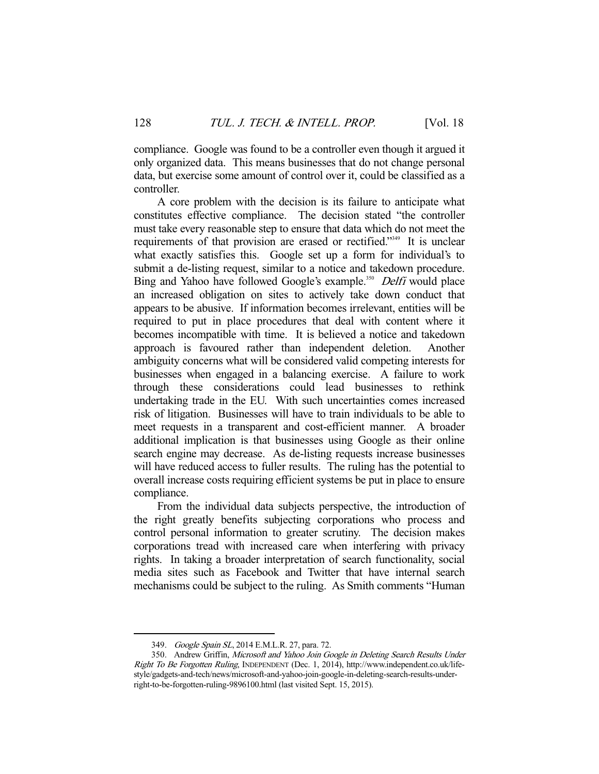compliance. Google was found to be a controller even though it argued it only organized data. This means businesses that do not change personal data, but exercise some amount of control over it, could be classified as a controller.

 A core problem with the decision is its failure to anticipate what constitutes effective compliance. The decision stated "the controller must take every reasonable step to ensure that data which do not meet the requirements of that provision are erased or rectified."349 It is unclear what exactly satisfies this. Google set up a form for individual's to submit a de-listing request, similar to a notice and takedown procedure. Bing and Yahoo have followed Google's example.<sup>350</sup> Delfi would place an increased obligation on sites to actively take down conduct that appears to be abusive. If information becomes irrelevant, entities will be required to put in place procedures that deal with content where it becomes incompatible with time. It is believed a notice and takedown approach is favoured rather than independent deletion. Another ambiguity concerns what will be considered valid competing interests for businesses when engaged in a balancing exercise. A failure to work through these considerations could lead businesses to rethink undertaking trade in the EU. With such uncertainties comes increased risk of litigation. Businesses will have to train individuals to be able to meet requests in a transparent and cost-efficient manner. A broader additional implication is that businesses using Google as their online search engine may decrease. As de-listing requests increase businesses will have reduced access to fuller results. The ruling has the potential to overall increase costs requiring efficient systems be put in place to ensure compliance.

 From the individual data subjects perspective, the introduction of the right greatly benefits subjecting corporations who process and control personal information to greater scrutiny. The decision makes corporations tread with increased care when interfering with privacy rights. In taking a broader interpretation of search functionality, social media sites such as Facebook and Twitter that have internal search mechanisms could be subject to the ruling. As Smith comments "Human

<sup>349.</sup> Google Spain SL, 2014 E.M.L.R. 27, para. 72.

<sup>350.</sup> Andrew Griffin, Microsoft and Yahoo Join Google in Deleting Search Results Under Right To Be Forgotten Ruling, INDEPENDENT (Dec. 1, 2014), http://www.independent.co.uk/lifestyle/gadgets-and-tech/news/microsoft-and-yahoo-join-google-in-deleting-search-results-underright-to-be-forgotten-ruling-9896100.html (last visited Sept. 15, 2015).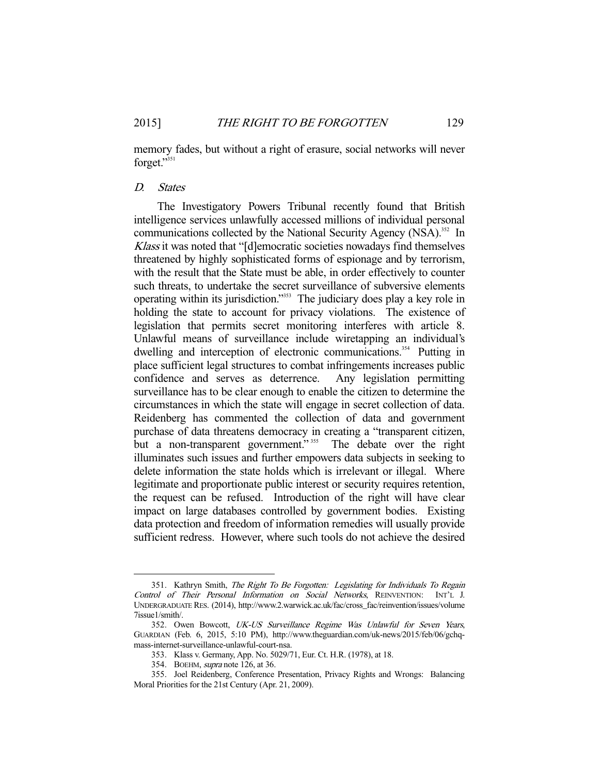memory fades, but without a right of erasure, social networks will never forget."351

#### D. States

 The Investigatory Powers Tribunal recently found that British intelligence services unlawfully accessed millions of individual personal communications collected by the National Security Agency (NSA).<sup>352</sup> In Klass it was noted that "[d]emocratic societies nowadays find themselves threatened by highly sophisticated forms of espionage and by terrorism, with the result that the State must be able, in order effectively to counter such threats, to undertake the secret surveillance of subversive elements operating within its jurisdiction."353 The judiciary does play a key role in holding the state to account for privacy violations. The existence of legislation that permits secret monitoring interferes with article 8. Unlawful means of surveillance include wiretapping an individual's dwelling and interception of electronic communications.<sup>354</sup> Putting in place sufficient legal structures to combat infringements increases public confidence and serves as deterrence. Any legislation permitting surveillance has to be clear enough to enable the citizen to determine the circumstances in which the state will engage in secret collection of data. Reidenberg has commented the collection of data and government purchase of data threatens democracy in creating a "transparent citizen, but a non-transparent government."<sup>355</sup> The debate over the right illuminates such issues and further empowers data subjects in seeking to delete information the state holds which is irrelevant or illegal. Where legitimate and proportionate public interest or security requires retention, the request can be refused. Introduction of the right will have clear impact on large databases controlled by government bodies. Existing data protection and freedom of information remedies will usually provide sufficient redress. However, where such tools do not achieve the desired

<sup>351.</sup> Kathryn Smith, The Right To Be Forgotten: Legislating for Individuals To Regain Control of Their Personal Information on Social Networks, REINVENTION: INT'L J. UNDERGRADUATE RES. (2014), http://www.2.warwick.ac.uk/fac/cross\_fac/reinvention/issues/volume 7issue1/smith/.

 <sup>352.</sup> Owen Bowcott, UK-US Surveillance Regime Was Unlawful for Seven Years, GUARDIAN (Feb. 6, 2015, 5:10 PM), http://www.theguardian.com/uk-news/2015/feb/06/gchqmass-internet-surveillance-unlawful-court-nsa.

 <sup>353.</sup> Klass v. Germany, App. No. 5029/71, Eur. Ct. H.R. (1978), at 18.

 <sup>354.</sup> BOEHM, supra note 126, at 36.

 <sup>355.</sup> Joel Reidenberg, Conference Presentation, Privacy Rights and Wrongs: Balancing Moral Priorities for the 21st Century (Apr. 21, 2009).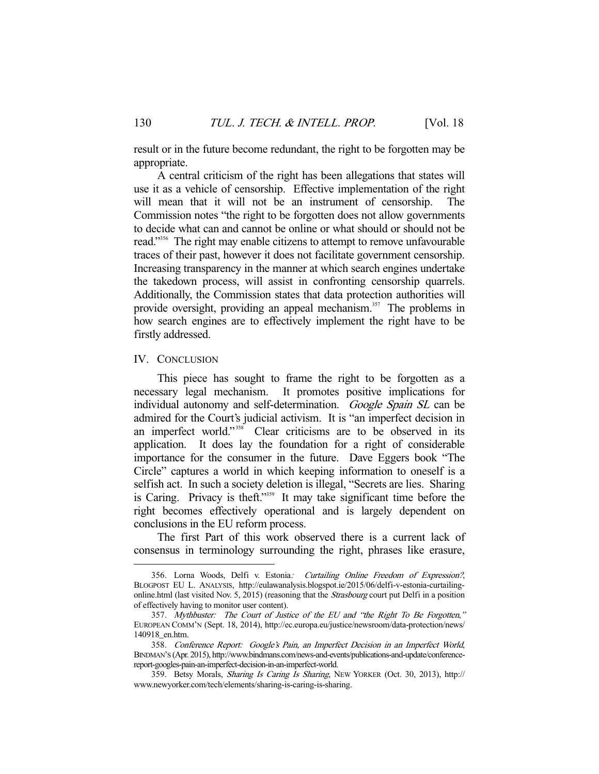result or in the future become redundant, the right to be forgotten may be appropriate.

 A central criticism of the right has been allegations that states will use it as a vehicle of censorship. Effective implementation of the right will mean that it will not be an instrument of censorship. The Commission notes "the right to be forgotten does not allow governments to decide what can and cannot be online or what should or should not be read."356 The right may enable citizens to attempt to remove unfavourable traces of their past, however it does not facilitate government censorship. Increasing transparency in the manner at which search engines undertake the takedown process, will assist in confronting censorship quarrels. Additionally, the Commission states that data protection authorities will provide oversight, providing an appeal mechanism.<sup>357</sup> The problems in how search engines are to effectively implement the right have to be firstly addressed.

#### IV. CONCLUSION

-

 This piece has sought to frame the right to be forgotten as a necessary legal mechanism. It promotes positive implications for individual autonomy and self-determination. *Google Spain SL* can be admired for the Court's judicial activism. It is "an imperfect decision in an imperfect world."<sup>358</sup> Clear criticisms are to be observed in its application. It does lay the foundation for a right of considerable importance for the consumer in the future. Dave Eggers book "The Circle" captures a world in which keeping information to oneself is a selfish act. In such a society deletion is illegal, "Secrets are lies. Sharing is Caring. Privacy is theft."359 It may take significant time before the right becomes effectively operational and is largely dependent on conclusions in the EU reform process.

 The first Part of this work observed there is a current lack of consensus in terminology surrounding the right, phrases like erasure,

 <sup>356.</sup> Lorna Woods, Delfi v. Estonia: Curtailing Online Freedom of Expression?, BLOGPOST EU L. ANALYSIS, http://eulawanalysis.blogspot.ie/2015/06/delfi-v-estonia-curtailingonline.html (last visited Nov. 5, 2015) (reasoning that the *Strasbourg* court put Delfi in a position of effectively having to monitor user content).

 <sup>357.</sup> Mythbuster: The Court of Justice of the EU and "the Right To Be Forgotten," EUROPEAN COMM'N (Sept. 18, 2014), http://ec.europa.eu/justice/newsroom/data-protection/news/ 140918\_en.htm.

 <sup>358.</sup> Conference Report: Google's Pain, an Imperfect Decision in an Imperfect World, BINDMAN'S (Apr. 2015), http://www.bindmans.com/news-and-events/publications-and-update/conferencereport-googles-pain-an-imperfect-decision-in-an-imperfect-world.

 <sup>359.</sup> Betsy Morals, Sharing Is Caring Is Sharing, NEW YORKER (Oct. 30, 2013), http:// www.newyorker.com/tech/elements/sharing-is-caring-is-sharing.